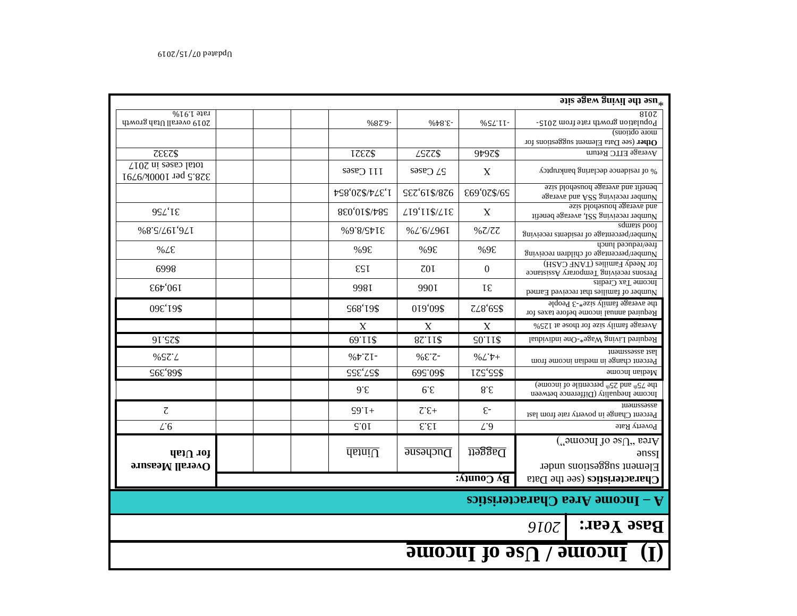|                                                       |                                   |                          |                    | <sup>3</sup> use the living wage site                                                                    |
|-------------------------------------------------------|-----------------------------------|--------------------------|--------------------|----------------------------------------------------------------------------------------------------------|
| $%$ 16.1 $9$ J $_{\rm F}$<br>2019 overall Utah growth |                                   | %87.9-<br>$%$ $*$ 8' $*$ | %SLTI-             | 810Z<br>Population growth rate from 2015-                                                                |
|                                                       |                                   |                          |                    | (anoition options)                                                                                       |
|                                                       |                                   |                          |                    | <b>Other</b> (see Data Element suggestions for                                                           |
| ZEEZ\$                                                | IZEZ\$                            | LSZZ\$                   | 9797\$             | Average EITC Return                                                                                      |
| total cases in 2017<br>328.5 per 1000k/9791           | 111 Cases                         | 57 Cases                 | X                  | % of residence declaring bankruptcy                                                                      |
|                                                       | 428'02\$/475.1                    | 587'61\$/876             | £69'07\$/69        | benefit and average household size<br>Number receiving SSA and average                                   |
| $9SL^{\prime}$ IE                                     | 880'01\$/789                      | LI9'II\$/LIE             | $\mathbf X$        | asia blodaeuod agerova bns<br>Number receiving SSI, average benefit                                      |
| %8'S/L61'9L1                                          | 3145/8/9%                         | %L'6/L961                | %Z/ZZ              | sqmais boot<br>Number/percentage of residents receiving                                                  |
| %LE                                                   | %9E                               | %9E                      | %9E                | free/reduced lunch<br>Number/percentage of children receiving                                            |
| 6998                                                  | ESI                               | Z <sub>0</sub> I         | $\boldsymbol{0}$   | for Needy Families (TANF CASH)<br>Persons receiving Temporary Assistance                                 |
| 190,493                                               | 998 <sub>I</sub>                  | 990I                     | $I\mathcal{E}$     | Income Tax Credits<br>Number of families that received Earned                                            |
| 098'19\$                                              | \$68'19\$                         | 019'09\$                 | ZL8'6S\$           | the average family size*-3 People<br>Required annual income before taxes for                             |
|                                                       | X                                 | $\overline{X}$           | $\overline{X}$     | Average family size for those at 125%                                                                    |
| 91.558                                                | 69'11\$                           | 87.118                   | 50.118             | Required Living Wage*-One individual                                                                     |
| %STL                                                  | -12.4%                            | $%E^{\dagger}Z^{-}$      | $%L^+$             | last assessment<br>Percent change in median income from                                                  |
| \$68,398                                              | SSE'LS\$                          | 695'09\$                 | 175'55\$           | Median Income                                                                                            |
|                                                       | $9.\epsilon$                      | $6\mathcal{E}$           | $8.\epsilon$       | the 75 <sup>th</sup> and 25 <sup>th</sup> percentile of income)<br>Income Inequality (Difference between |
| $\mbox{7}$                                            | $\zeta$ 9.1+                      | $7.5+$                   | $\varepsilon$ -    | <b>JUƏLUSSƏSSE</b><br>Percent Change in poverty rate from last                                           |
| L.6                                                   | $\mathcal{S}0I$                   | $\epsilon$ e I           | L.9                | Poverty Rate                                                                                             |
| $q_{3}$ $q_{1}$ $q_{3}$<br>Overall Measure            | $\frac{1}{\text{dim} \mathbb{N}}$ | Duchesne                 | $\frac{1}{119226}$ | $($ "be of lncome")<br>ənssp<br>Element suggestions under                                                |
|                                                       |                                   |                          | <b>By County:</b>  | Characteristics (see the Data                                                                            |
|                                                       |                                   |                          |                    | A – Income Area Characteristics                                                                          |
|                                                       |                                   |                          |                    | Base Year: $ 2016 $                                                                                      |
|                                                       |                                   |                          |                    | $\frac{1}{2}$ [Neome / Use of Income                                                                     |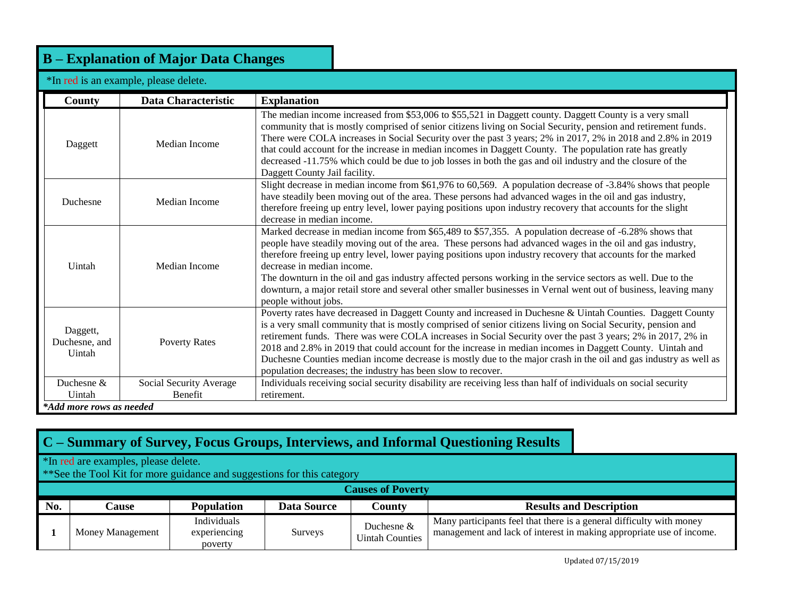#### \*In red is an example, please delete.

| County                              | Data Characteristic     | <b>Explanation</b>                                                                                                                                                                                                                                                                                                                                                                                                                                                                                                                                                                                                                         |
|-------------------------------------|-------------------------|--------------------------------------------------------------------------------------------------------------------------------------------------------------------------------------------------------------------------------------------------------------------------------------------------------------------------------------------------------------------------------------------------------------------------------------------------------------------------------------------------------------------------------------------------------------------------------------------------------------------------------------------|
| Daggett                             | Median Income           | The median income increased from \$53,006 to \$55,521 in Daggett county. Daggett County is a very small<br>community that is mostly comprised of senior citizens living on Social Security, pension and retirement funds.<br>There were COLA increases in Social Security over the past 3 years; 2% in 2017, 2% in 2018 and 2.8% in 2019<br>that could account for the increase in median incomes in Daggett County. The population rate has greatly<br>decreased -11.75% which could be due to job losses in both the gas and oil industry and the closure of the<br>Daggett County Jail facility.                                        |
| Duchesne                            | Median Income           | Slight decrease in median income from \$61,976 to 60,569. A population decrease of -3.84% shows that people<br>have steadily been moving out of the area. These persons had advanced wages in the oil and gas industry,<br>therefore freeing up entry level, lower paying positions upon industry recovery that accounts for the slight<br>decrease in median income.                                                                                                                                                                                                                                                                      |
| Uintah                              | Median Income           | Marked decrease in median income from \$65,489 to \$57,355. A population decrease of -6.28% shows that<br>people have steadily moving out of the area. These persons had advanced wages in the oil and gas industry,<br>therefore freeing up entry level, lower paying positions upon industry recovery that accounts for the marked<br>decrease in median income.<br>The downturn in the oil and gas industry affected persons working in the service sectors as well. Due to the<br>downturn, a major retail store and several other smaller businesses in Vernal went out of business, leaving many<br>people without jobs.             |
| Daggett,<br>Duchesne, and<br>Uintah | <b>Poverty Rates</b>    | Poverty rates have decreased in Daggett County and increased in Duchesne & Uintah Counties. Daggett County<br>is a very small community that is mostly comprised of senior citizens living on Social Security, pension and<br>retirement funds. There was were COLA increases in Social Security over the past 3 years; 2% in 2017, 2% in<br>2018 and 2.8% in 2019 that could account for the increase in median incomes in Daggett County. Uintah and<br>Duchesne Counties median income decrease is mostly due to the major crash in the oil and gas industry as well as<br>population decreases; the industry has been slow to recover. |
| Duchesne &                          | Social Security Average | Individuals receiving social security disability are receiving less than half of individuals on social security                                                                                                                                                                                                                                                                                                                                                                                                                                                                                                                            |
| Uintah<br>*Add more rows as needed  | <b>Benefit</b>          | retirement.                                                                                                                                                                                                                                                                                                                                                                                                                                                                                                                                                                                                                                |

#### **C – Summary of Survey, Focus Groups, Interviews, and Informal Questioning Results**

#### \*In red are examples, please delete.

|     | <b>Causes of Poverty</b> |                                        |                |                                         |                                                                                                                                              |  |
|-----|--------------------------|----------------------------------------|----------------|-----------------------------------------|----------------------------------------------------------------------------------------------------------------------------------------------|--|
| No. | <b>Cause</b>             | Population                             | Data Source    | <b>County</b>                           | <b>Results and Description</b>                                                                                                               |  |
|     | Money Management         | Individuals<br>experiencing<br>poverty | <b>Surveys</b> | Duchesne $\&$<br><b>Uintah Counties</b> | Many participants feel that there is a general difficulty with money<br>management and lack of interest in making appropriate use of income. |  |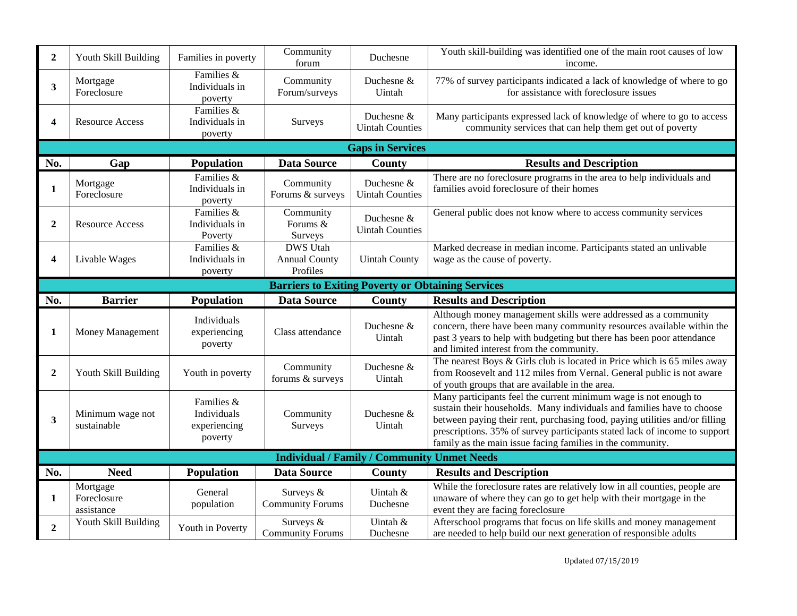| $\mathbf{2}$            | Youth Skill Building                                          | Families in poverty                                  | Community                                                | Duchesne                                           | Youth skill-building was identified one of the main root causes of low                                                                                                                                                                                                                                                                                                |
|-------------------------|---------------------------------------------------------------|------------------------------------------------------|----------------------------------------------------------|----------------------------------------------------|-----------------------------------------------------------------------------------------------------------------------------------------------------------------------------------------------------------------------------------------------------------------------------------------------------------------------------------------------------------------------|
| 3                       | Mortgage<br>Foreclosure                                       | Families &<br>Individuals in<br>poverty              | forum<br>Community<br>Forum/surveys                      | Duchesne &<br>Uintah                               | income.<br>77% of survey participants indicated a lack of knowledge of where to go<br>for assistance with foreclosure issues                                                                                                                                                                                                                                          |
| 4                       | <b>Resource Access</b>                                        | Families &<br>Individuals in<br>poverty              | Surveys                                                  | Duchesne &<br><b>Uintah Counties</b>               | Many participants expressed lack of knowledge of where to go to access<br>community services that can help them get out of poverty                                                                                                                                                                                                                                    |
|                         |                                                               |                                                      |                                                          | <b>Gaps in Services</b>                            |                                                                                                                                                                                                                                                                                                                                                                       |
| No.                     | Gap                                                           | Population                                           | <b>Data Source</b>                                       | County                                             | <b>Results and Description</b>                                                                                                                                                                                                                                                                                                                                        |
| $\mathbf{1}$            | Mortgage<br>Foreclosure                                       | Families &<br>Individuals in<br>poverty              | Community<br>Forums & surveys                            | Duchesne &<br><b>Uintah Counties</b>               | There are no foreclosure programs in the area to help individuals and<br>families avoid foreclosure of their homes                                                                                                                                                                                                                                                    |
| $\overline{2}$          | <b>Resource Access</b>                                        | Families &<br>Individuals in<br>Poverty              | Community<br>Forums &<br>Surveys                         | Duchesne &<br><b>Uintah Counties</b>               | General public does not know where to access community services                                                                                                                                                                                                                                                                                                       |
| $\overline{\mathbf{4}}$ | Livable Wages                                                 | Families &<br>Individuals in<br>poverty              | <b>DWS</b> Utah<br><b>Annual County</b><br>Profiles      | <b>Uintah County</b>                               | Marked decrease in median income. Participants stated an unlivable<br>wage as the cause of poverty.                                                                                                                                                                                                                                                                   |
|                         |                                                               |                                                      | <b>Barriers to Exiting Poverty or Obtaining Services</b> |                                                    |                                                                                                                                                                                                                                                                                                                                                                       |
|                         |                                                               |                                                      |                                                          |                                                    |                                                                                                                                                                                                                                                                                                                                                                       |
| No.                     | <b>Barrier</b>                                                | Population                                           | <b>Data Source</b>                                       | County                                             | <b>Results and Description</b>                                                                                                                                                                                                                                                                                                                                        |
| $\mathbf{1}$            | Money Management                                              | Individuals<br>experiencing<br>poverty               | Class attendance                                         | Duchesne &<br>Uintah                               | Although money management skills were addressed as a community<br>concern, there have been many community resources available within the<br>past 3 years to help with budgeting but there has been poor attendance<br>and limited interest from the community.                                                                                                        |
| $\overline{2}$          | Youth Skill Building                                          | Youth in poverty                                     | Community<br>forums & surveys                            | Duchesne &<br>Uintah                               | The nearest Boys & Girls club is located in Price which is 65 miles away<br>from Roosevelt and 112 miles from Vernal. General public is not aware<br>of youth groups that are available in the area.                                                                                                                                                                  |
| $\mathbf{3}$            | Minimum wage not<br>sustainable                               | Families &<br>Individuals<br>experiencing<br>poverty | Community<br>Surveys                                     | Duchesne &<br>Uintah                               | Many participants feel the current minimum wage is not enough to<br>sustain their households. Many individuals and families have to choose<br>between paying their rent, purchasing food, paying utilities and/or filling<br>prescriptions. 35% of survey participants stated lack of income to support<br>family as the main issue facing families in the community. |
|                         |                                                               |                                                      |                                                          | <b>Individual / Family / Community Unmet Needs</b> |                                                                                                                                                                                                                                                                                                                                                                       |
| No.                     | <b>Need</b>                                                   | Population                                           | <b>Data Source</b>                                       | County                                             | <b>Results and Description</b>                                                                                                                                                                                                                                                                                                                                        |
| $\mathbf{1}$            | Mortgage<br>Foreclosure<br>assistance<br>Youth Skill Building | General<br>population                                | Surveys &<br><b>Community Forums</b><br>Surveys &        | Uintah &<br>Duchesne<br>Uintah &                   | While the foreclosure rates are relatively low in all counties, people are<br>unaware of where they can go to get help with their mortgage in the<br>event they are facing foreclosure<br>Afterschool programs that focus on life skills and money management                                                                                                         |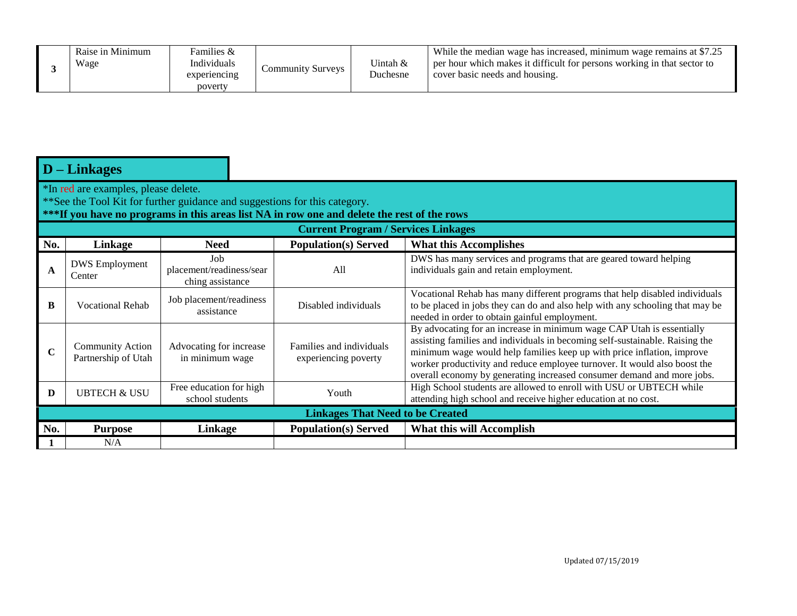|  | Raise in Minimum<br>Wage | Families &<br>Individuals<br>experiencing<br>poverty | Community Surveys | Uintah $\&$<br>Duchesne | While the median wage has increased, minimum wage remains at \$7.25<br>per hour which makes it difficult for persons working in that sector to<br>cover basic needs and housing. |
|--|--------------------------|------------------------------------------------------|-------------------|-------------------------|----------------------------------------------------------------------------------------------------------------------------------------------------------------------------------|
|--|--------------------------|------------------------------------------------------|-------------------|-------------------------|----------------------------------------------------------------------------------------------------------------------------------------------------------------------------------|

|             | $D$ – Linkages                                                                                                                                                                                                    |                                                     |                                                  |                                                                                                                                                                                                                                                                                                                                                                                        |  |  |  |
|-------------|-------------------------------------------------------------------------------------------------------------------------------------------------------------------------------------------------------------------|-----------------------------------------------------|--------------------------------------------------|----------------------------------------------------------------------------------------------------------------------------------------------------------------------------------------------------------------------------------------------------------------------------------------------------------------------------------------------------------------------------------------|--|--|--|
|             | *In red are examples, please delete.<br>**See the Tool Kit for further guidance and suggestions for this category.<br>***If you have no programs in this areas list NA in row one and delete the rest of the rows |                                                     |                                                  |                                                                                                                                                                                                                                                                                                                                                                                        |  |  |  |
|             |                                                                                                                                                                                                                   |                                                     | <b>Current Program / Services Linkages</b>       |                                                                                                                                                                                                                                                                                                                                                                                        |  |  |  |
| No.         | Linkage                                                                                                                                                                                                           | <b>Need</b>                                         | <b>Population(s)</b> Served                      | <b>What this Accomplishes</b>                                                                                                                                                                                                                                                                                                                                                          |  |  |  |
| A           | <b>DWS</b> Employment<br>Center                                                                                                                                                                                   | Job<br>placement/readiness/sear<br>ching assistance | A11                                              | DWS has many services and programs that are geared toward helping<br>individuals gain and retain employment.                                                                                                                                                                                                                                                                           |  |  |  |
| B           | <b>Vocational Rehab</b>                                                                                                                                                                                           | Job placement/readiness<br>assistance               | Disabled individuals                             | Vocational Rehab has many different programs that help disabled individuals<br>to be placed in jobs they can do and also help with any schooling that may be<br>needed in order to obtain gainful employment.                                                                                                                                                                          |  |  |  |
| $\mathbf C$ | <b>Community Action</b><br>Partnership of Utah                                                                                                                                                                    | Advocating for increase<br>in minimum wage          | Families and individuals<br>experiencing poverty | By advocating for an increase in minimum wage CAP Utah is essentially<br>assisting families and individuals in becoming self-sustainable. Raising the<br>minimum wage would help families keep up with price inflation, improve<br>worker productivity and reduce employee turnover. It would also boost the<br>overall economy by generating increased consumer demand and more jobs. |  |  |  |
| D           | <b>UBTECH &amp; USU</b>                                                                                                                                                                                           | Free education for high<br>school students          | Youth                                            | High School students are allowed to enroll with USU or UBTECH while<br>attending high school and receive higher education at no cost.                                                                                                                                                                                                                                                  |  |  |  |
|             |                                                                                                                                                                                                                   |                                                     | <b>Linkages That Need to be Created</b>          |                                                                                                                                                                                                                                                                                                                                                                                        |  |  |  |
| No.         | <b>Purpose</b>                                                                                                                                                                                                    | Linkage                                             | <b>Population(s)</b> Served                      | What this will Accomplish                                                                                                                                                                                                                                                                                                                                                              |  |  |  |
|             | N/A                                                                                                                                                                                                               |                                                     |                                                  |                                                                                                                                                                                                                                                                                                                                                                                        |  |  |  |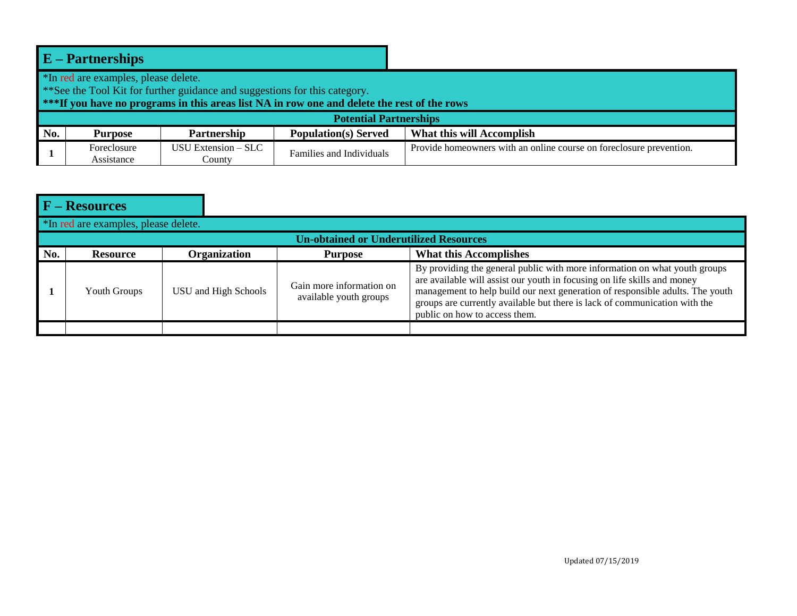\*In red are examples, please delete.

\*\*See the Tool Kit for further guidance and suggestions for this category.

|     | <b>Potential Partnerships</b> |                                 |                             |                                                                     |  |  |
|-----|-------------------------------|---------------------------------|-----------------------------|---------------------------------------------------------------------|--|--|
| No. | Purpose                       | <b>Partnership</b>              | <b>Population(s)</b> Served | What this will Accomplish                                           |  |  |
|     | Foreclosure<br>Assistance     | USU Extension $-$ SLC<br>County | Families and Individuals    | Provide homeowners with an online course on foreclosure prevention. |  |  |

|     | F – Resources                        |                      |                                                    |                                                                                                                                                                                                                                                                                                                                                        |  |  |
|-----|--------------------------------------|----------------------|----------------------------------------------------|--------------------------------------------------------------------------------------------------------------------------------------------------------------------------------------------------------------------------------------------------------------------------------------------------------------------------------------------------------|--|--|
|     | *In red are examples, please delete. |                      |                                                    |                                                                                                                                                                                                                                                                                                                                                        |  |  |
|     |                                      |                      | <b>Un-obtained or Underutilized Resources</b>      |                                                                                                                                                                                                                                                                                                                                                        |  |  |
| No. | <b>Resource</b>                      | Organization         | <b>Purpose</b>                                     | <b>What this Accomplishes</b>                                                                                                                                                                                                                                                                                                                          |  |  |
|     | Youth Groups                         | USU and High Schools | Gain more information on<br>available youth groups | By providing the general public with more information on what youth groups<br>are available will assist our youth in focusing on life skills and money<br>management to help build our next generation of responsible adults. The youth<br>groups are currently available but there is lack of communication with the<br>public on how to access them. |  |  |
|     |                                      |                      |                                                    |                                                                                                                                                                                                                                                                                                                                                        |  |  |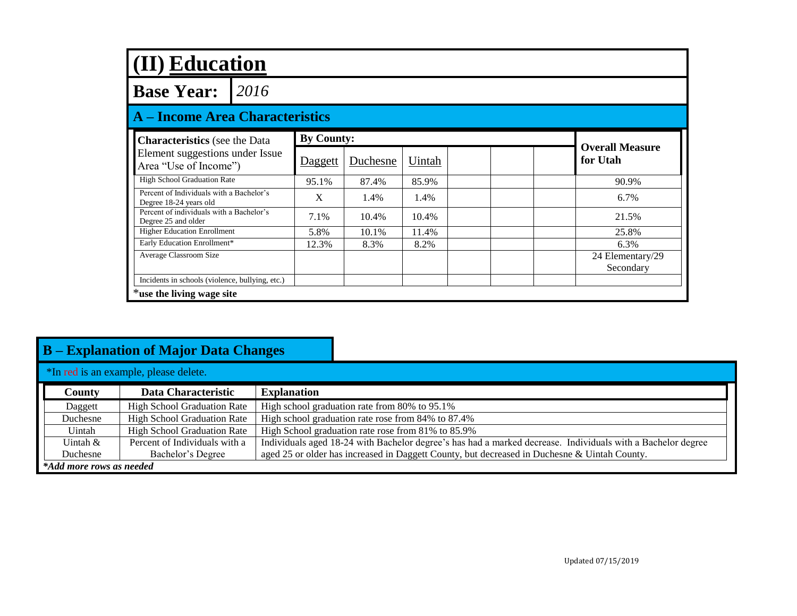| (II) Education                                                     |                   |          |        |  |                                    |  |
|--------------------------------------------------------------------|-------------------|----------|--------|--|------------------------------------|--|
| <b>Base Year:</b><br>2016                                          |                   |          |        |  |                                    |  |
| <b>A</b> – Income Area Characteristics                             |                   |          |        |  |                                    |  |
| <b>Characteristics</b> (see the Data                               | <b>By County:</b> |          |        |  |                                    |  |
| Element suggestions under Issue<br>Area "Use of Income")           | Daggett           | Duchesne | Uintah |  | <b>Overall Measure</b><br>for Utah |  |
| High School Graduation Rate                                        | 95.1%             | 87.4%    | 85.9%  |  | 90.9%                              |  |
| Percent of Individuals with a Bachelor's<br>Degree 18-24 years old | X                 | 1.4%     | 1.4%   |  | 6.7%                               |  |
| Percent of individuals with a Bachelor's<br>Degree 25 and older    | 7.1%              | 10.4%    | 10.4%  |  | 21.5%                              |  |
| <b>Higher Education Enrollment</b>                                 | 5.8%              | 10.1%    | 11.4%  |  | 25.8%                              |  |
| Early Education Enrollment*                                        | 12.3%             | 8.3%     | 8.2%   |  | 6.3%                               |  |
| Average Classroom Size                                             |                   |          |        |  | 24 Elementary/29<br>Secondary      |  |
| Incidents in schools (violence, bullying, etc.)                    |                   |          |        |  |                                    |  |
| *use the living wage site                                          |                   |          |        |  |                                    |  |

|                          | *In red is an example, please delete. |                                                                                                             |
|--------------------------|---------------------------------------|-------------------------------------------------------------------------------------------------------------|
| County                   | Data Characteristic                   | <b>Explanation</b>                                                                                          |
| Daggett                  | <b>High School Graduation Rate</b>    | High school graduation rate from 80% to 95.1%                                                               |
| Duchesne                 | <b>High School Graduation Rate</b>    | High school graduation rate rose from 84% to 87.4%                                                          |
| Uintah                   | <b>High School Graduation Rate</b>    | High School graduation rate rose from 81% to 85.9%                                                          |
| Uintah &                 | Percent of Individuals with a         | Individuals aged 18-24 with Bachelor degree's has had a marked decrease. Individuals with a Bachelor degree |
| Duchesne                 | Bachelor's Degree                     | aged 25 or older has increased in Daggett County, but decreased in Duchesne & Uintah County.                |
| *Add more rows as needed |                                       |                                                                                                             |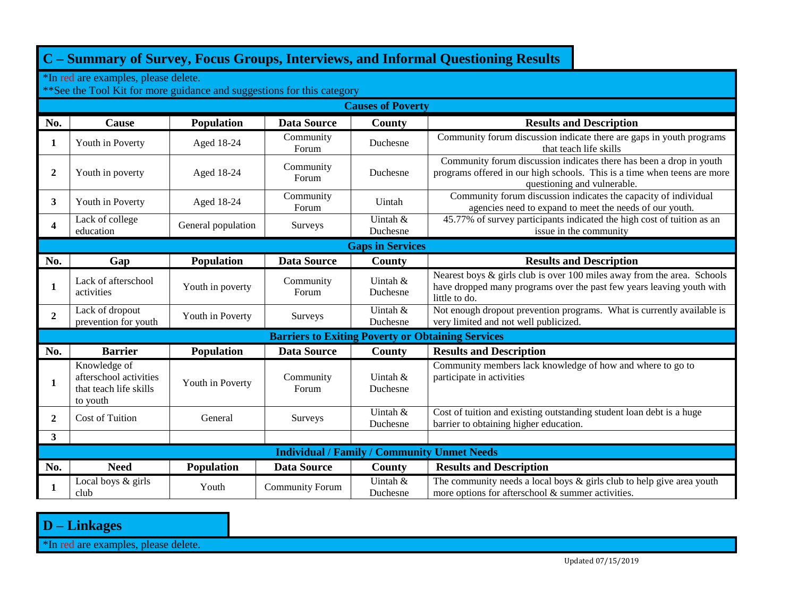\*In red are examples, please delete.

|                         | <b>Causes of Poverty</b>                                                     |                    |                                                          |                         |                                                                                                                                                                                |  |  |  |
|-------------------------|------------------------------------------------------------------------------|--------------------|----------------------------------------------------------|-------------------------|--------------------------------------------------------------------------------------------------------------------------------------------------------------------------------|--|--|--|
| No.                     | <b>Cause</b>                                                                 | <b>Population</b>  | <b>Data Source</b>                                       | County                  | <b>Results and Description</b>                                                                                                                                                 |  |  |  |
| 1                       | Youth in Poverty                                                             | Aged 18-24         | Community<br>Forum                                       | Duchesne                | Community forum discussion indicate there are gaps in youth programs<br>that teach life skills                                                                                 |  |  |  |
| $\boldsymbol{2}$        | Youth in poverty                                                             | Aged 18-24         | Community<br>Forum                                       | Duchesne                | Community forum discussion indicates there has been a drop in youth<br>programs offered in our high schools. This is a time when teens are more<br>questioning and vulnerable. |  |  |  |
| $3^{\circ}$             | Youth in Poverty                                                             | Aged 18-24         | Community<br>Forum                                       | Uintah                  | Community forum discussion indicates the capacity of individual<br>agencies need to expand to meet the needs of our youth.                                                     |  |  |  |
| $\overline{\mathbf{4}}$ | Lack of college<br>education                                                 | General population | Surveys                                                  | Uintah &<br>Duchesne    | 45.77% of survey participants indicated the high cost of tuition as an<br>issue in the community                                                                               |  |  |  |
|                         |                                                                              |                    |                                                          | <b>Gaps in Services</b> |                                                                                                                                                                                |  |  |  |
| No.                     | Gap                                                                          | <b>Population</b>  | <b>Data Source</b>                                       | County                  | <b>Results and Description</b>                                                                                                                                                 |  |  |  |
| 1                       | Lack of afterschool<br>activities                                            | Youth in poverty   | Community<br>Forum                                       | Uintah &<br>Duchesne    | Nearest boys & girls club is over 100 miles away from the area. Schools<br>have dropped many programs over the past few years leaving youth with<br>little to do.              |  |  |  |
| $\overline{2}$          | Lack of dropout<br>prevention for youth                                      | Youth in Poverty   | Surveys                                                  | Uintah &<br>Duchesne    | Not enough dropout prevention programs. What is currently available is<br>very limited and not well publicized.                                                                |  |  |  |
|                         |                                                                              |                    | <b>Barriers to Exiting Poverty or Obtaining Services</b> |                         |                                                                                                                                                                                |  |  |  |
| No.                     | <b>Barrier</b>                                                               | Population         | <b>Data Source</b>                                       | <b>County</b>           | <b>Results and Description</b>                                                                                                                                                 |  |  |  |
| 1                       | Knowledge of<br>afterschool activities<br>that teach life skills<br>to youth | Youth in Poverty   | Community<br>Forum                                       | Uintah $\&$<br>Duchesne | Community members lack knowledge of how and where to go to<br>participate in activities                                                                                        |  |  |  |
| $\overline{2}$          | Cost of Tuition                                                              | General            | Surveys                                                  | Uintah &<br>Duchesne    | Cost of tuition and existing outstanding student loan debt is a huge<br>barrier to obtaining higher education.                                                                 |  |  |  |
| 3 <sup>1</sup>          |                                                                              |                    |                                                          |                         |                                                                                                                                                                                |  |  |  |
|                         |                                                                              |                    | <b>Individual / Family / Community Unmet Needs</b>       |                         |                                                                                                                                                                                |  |  |  |
| No.                     | <b>Need</b>                                                                  | Population         | <b>Data Source</b>                                       | County                  | <b>Results and Description</b>                                                                                                                                                 |  |  |  |
|                         | Local boys & girls<br>club                                                   | Youth              | <b>Community Forum</b>                                   | Uintah &<br>Duchesne    | The community needs a local boys $\&$ girls club to help give area youth<br>more options for afterschool & summer activities.                                                  |  |  |  |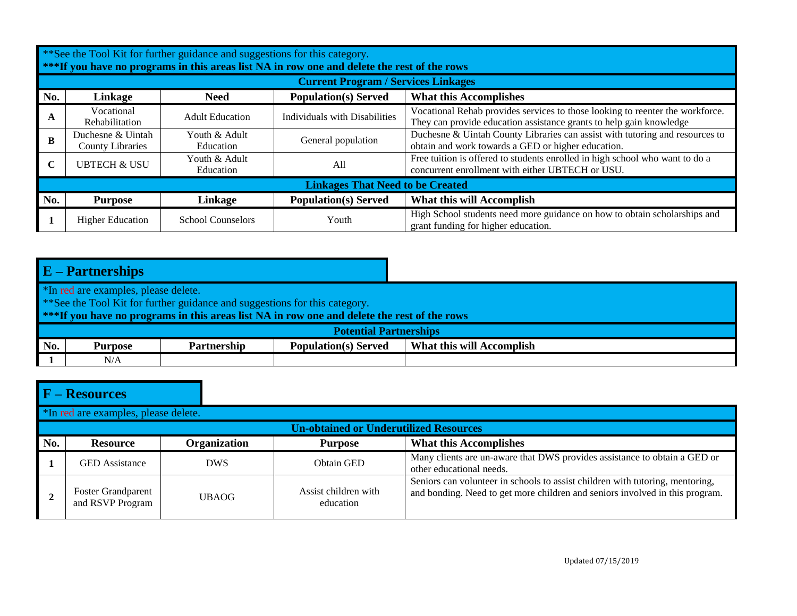|             | ** See the Tool Kit for further guidance and suggestions for this category.<br>***If you have no programs in this areas list NA in row one and delete the rest of the rows |                            |                                            |                                                                                                                                                      |  |  |
|-------------|----------------------------------------------------------------------------------------------------------------------------------------------------------------------------|----------------------------|--------------------------------------------|------------------------------------------------------------------------------------------------------------------------------------------------------|--|--|
|             |                                                                                                                                                                            |                            | <b>Current Program / Services Linkages</b> |                                                                                                                                                      |  |  |
| No.         | Linkage                                                                                                                                                                    | <b>Need</b>                | <b>Population(s)</b> Served                | <b>What this Accomplishes</b>                                                                                                                        |  |  |
| A           | Vocational<br>Rehabilitation                                                                                                                                               | <b>Adult Education</b>     | <b>Individuals with Disabilities</b>       | Vocational Rehab provides services to those looking to reenter the workforce.<br>They can provide education assistance grants to help gain knowledge |  |  |
| B           | Duchesne & Uintah<br><b>County Libraries</b>                                                                                                                               | Youth & Adult<br>Education | General population                         | Duchesne & Uintah County Libraries can assist with tutoring and resources to<br>obtain and work towards a GED or higher education.                   |  |  |
| $\mathbf C$ | <b>UBTECH &amp; USU</b>                                                                                                                                                    | Youth & Adult<br>Education | All                                        | Free tuition is offered to students enrolled in high school who want to do a<br>concurrent enrollment with either UBTECH or USU.                     |  |  |
|             | <b>Linkages That Need to be Created</b>                                                                                                                                    |                            |                                            |                                                                                                                                                      |  |  |
| No.         | <b>Purpose</b>                                                                                                                                                             | Linkage                    | <b>Population(s)</b> Served                | What this will Accomplish                                                                                                                            |  |  |
|             | <b>Higher Education</b>                                                                                                                                                    | <b>School Counselors</b>   | Youth                                      | High School students need more guidance on how to obtain scholarships and<br>grant funding for higher education.                                     |  |  |

\*In red are examples, please delete.

\*\*See the Tool Kit for further guidance and suggestions for this category.

|     | <b>Potential Partnerships</b> |             |                      |                                     |  |  |
|-----|-------------------------------|-------------|----------------------|-------------------------------------|--|--|
| No. | <b>Purpose</b>                | Partnership | Population(s) Served | What this will<br><b>Accomplish</b> |  |  |
|     | <b>* *</b> /<br>N/A           |             |                      |                                     |  |  |

|     | F – Resources                                 |              |                                               |                                                                                                                                                               |
|-----|-----------------------------------------------|--------------|-----------------------------------------------|---------------------------------------------------------------------------------------------------------------------------------------------------------------|
|     | *In red are examples, please delete.          |              |                                               |                                                                                                                                                               |
|     |                                               |              | <b>Un-obtained or Underutilized Resources</b> |                                                                                                                                                               |
| No. | <b>Resource</b>                               | Organization | <b>Purpose</b>                                | <b>What this Accomplishes</b>                                                                                                                                 |
|     | <b>GED</b> Assistance                         | <b>DWS</b>   | Obtain GED                                    | Many clients are un-aware that DWS provides assistance to obtain a GED or<br>other educational needs.                                                         |
|     | <b>Foster Grandparent</b><br>and RSVP Program | <b>UBAOG</b> | Assist children with<br>education             | Seniors can volunteer in schools to assist children with tutoring, mentoring,<br>and bonding. Need to get more children and seniors involved in this program. |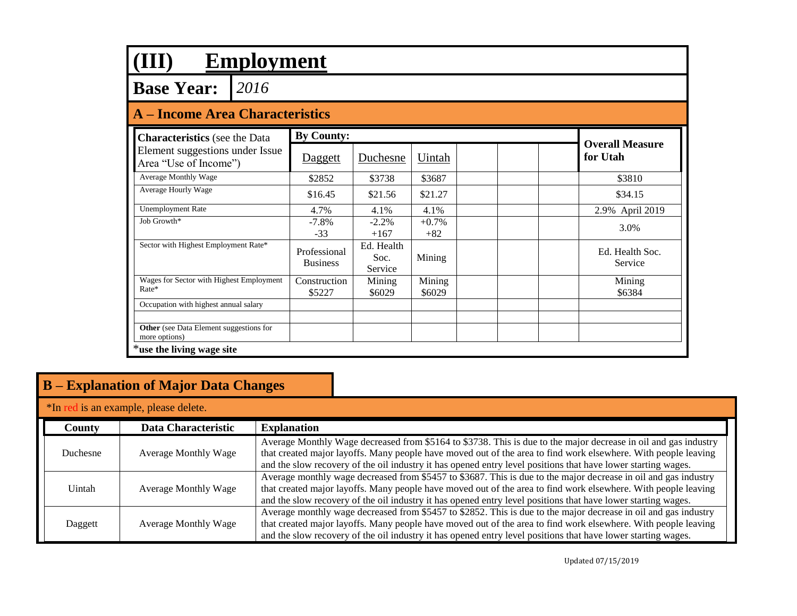| <b>Employment</b><br>(III)                               |      |                                 |                               |                   |                                    |  |
|----------------------------------------------------------|------|---------------------------------|-------------------------------|-------------------|------------------------------------|--|
| <b>Base Year:</b>                                        | 2016 |                                 |                               |                   |                                    |  |
| <b>A</b> – Income Area Characteristics                   |      |                                 |                               |                   |                                    |  |
| <b>Characteristics</b> (see the Data                     |      | <b>By County:</b>               |                               |                   |                                    |  |
| Element suggestions under Issue<br>Area "Use of Income") |      | Daggett                         | Duchesne                      | <b>Uintah</b>     | <b>Overall Measure</b><br>for Utah |  |
| Average Monthly Wage                                     |      | \$2852                          | \$3738                        | \$3687            | \$3810                             |  |
| Average Hourly Wage                                      |      | \$16.45                         | \$21.56                       | \$21.27           | \$34.15                            |  |
| <b>Unemployment Rate</b>                                 |      | 4.7%                            | 4.1%                          | 4.1%              | 2.9% April 2019                    |  |
| Job Growth*                                              |      | $-7.8%$<br>$-33$                | $-2.2%$<br>$+167$             | $+0.7\%$<br>$+82$ | 3.0%                               |  |
| Sector with Highest Employment Rate*                     |      | Professional<br><b>Business</b> | Ed. Health<br>Soc.<br>Service | Mining            | Ed. Health Soc.<br>Service         |  |
| Wages for Sector with Highest Employment<br>Rate*        |      | Construction<br>\$5227          | Mining<br>\$6029              | Mining<br>\$6029  | Mining<br>\$6384                   |  |
| Occupation with highest annual salary                    |      |                                 |                               |                   |                                    |  |
| Other (see Data Element suggestions for<br>more options) |      |                                 |                               |                   |                                    |  |

|          | *In red is an example, please delete. |                                                                                                                                                                                                                                                                                                                                                    |  |  |  |
|----------|---------------------------------------|----------------------------------------------------------------------------------------------------------------------------------------------------------------------------------------------------------------------------------------------------------------------------------------------------------------------------------------------------|--|--|--|
| County   | Data Characteristic                   | <b>Explanation</b>                                                                                                                                                                                                                                                                                                                                 |  |  |  |
| Duchesne | <b>Average Monthly Wage</b>           | Average Monthly Wage decreased from \$5164 to \$3738. This is due to the major decrease in oil and gas industry<br>that created major layoffs. Many people have moved out of the area to find work elsewhere. With people leaving<br>and the slow recovery of the oil industry it has opened entry level positions that have lower starting wages. |  |  |  |
| Uintah   | <b>Average Monthly Wage</b>           | Average monthly wage decreased from \$5457 to \$3687. This is due to the major decrease in oil and gas industry<br>that created major layoffs. Many people have moved out of the area to find work elsewhere. With people leaving<br>and the slow recovery of the oil industry it has opened entry level positions that have lower starting wages. |  |  |  |
| Daggett  | <b>Average Monthly Wage</b>           | Average monthly wage decreased from \$5457 to \$2852. This is due to the major decrease in oil and gas industry<br>that created major layoffs. Many people have moved out of the area to find work elsewhere. With people leaving<br>and the slow recovery of the oil industry it has opened entry level positions that have lower starting wages. |  |  |  |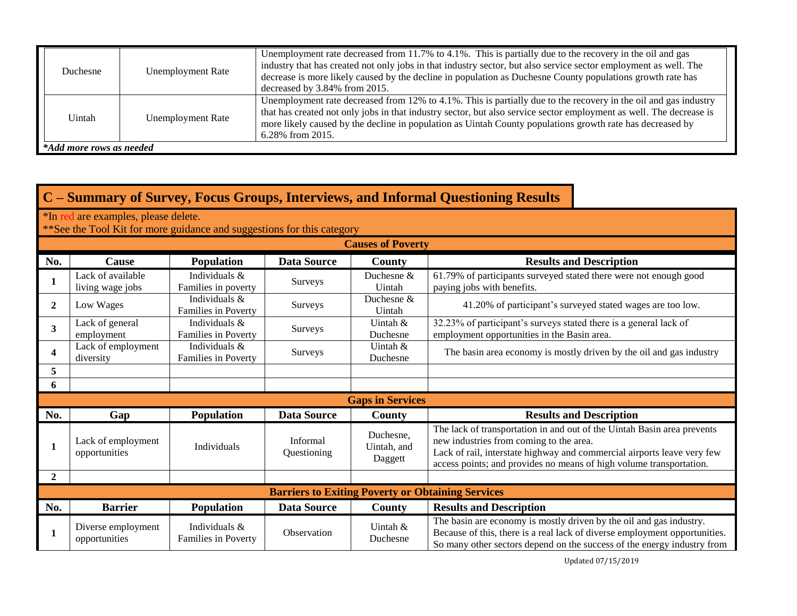| Duchesne                 | Unemployment Rate | Unemployment rate decreased from 11.7% to 4.1%. This is partially due to the recovery in the oil and gas<br>industry that has created not only jobs in that industry sector, but also service sector employment as well. The<br>decrease is more likely caused by the decline in population as Duchesne County populations growth rate has<br>decreased by 3.84% from 2015. |
|--------------------------|-------------------|-----------------------------------------------------------------------------------------------------------------------------------------------------------------------------------------------------------------------------------------------------------------------------------------------------------------------------------------------------------------------------|
| Uintah                   | Unemployment Rate | Unemployment rate decreased from 12% to 4.1%. This is partially due to the recovery in the oil and gas industry<br>that has created not only jobs in that industry sector, but also service sector employment as well. The decrease is<br>more likely caused by the decline in population as Uintah County populations growth rate has decreased by<br>6.28% from 2015.     |
| *Add more rows as needed |                   |                                                                                                                                                                                                                                                                                                                                                                             |

| *In red are examples, please delete.                     |
|----------------------------------------------------------|
| $*$ See the Tool Kit for more guidance and suggestions f |

|                         | **See the Tool Kit for more guidance and suggestions for this category |                                      |                                                          |                                     |                                                                                                                                                                                                                                                                      |  |
|-------------------------|------------------------------------------------------------------------|--------------------------------------|----------------------------------------------------------|-------------------------------------|----------------------------------------------------------------------------------------------------------------------------------------------------------------------------------------------------------------------------------------------------------------------|--|
|                         | <b>Causes of Poverty</b>                                               |                                      |                                                          |                                     |                                                                                                                                                                                                                                                                      |  |
| No.                     | Cause                                                                  | <b>Population</b>                    | <b>Data Source</b>                                       | <b>County</b>                       | <b>Results and Description</b>                                                                                                                                                                                                                                       |  |
|                         | Lack of available<br>living wage jobs                                  | Individuals &<br>Families in poverty | Surveys                                                  | Duchesne &<br>Uintah                | 61.79% of participants surveyed stated there were not enough good<br>paying jobs with benefits.                                                                                                                                                                      |  |
| $\overline{2}$          | Low Wages                                                              | Individuals &<br>Families in Poverty | Surveys                                                  | Duchesne $\&$<br>Uintah             | 41.20% of participant's surveyed stated wages are too low.                                                                                                                                                                                                           |  |
| 3                       | Lack of general<br>employment                                          | Individuals &<br>Families in Poverty | Surveys                                                  | Uintah $\&$<br>Duchesne             | 32.23% of participant's surveys stated there is a general lack of<br>employment opportunities in the Basin area.                                                                                                                                                     |  |
| $\overline{\mathbf{4}}$ | Lack of employment<br>diversity                                        | Individuals &<br>Families in Poverty | Surveys                                                  | Uintah &<br>Duchesne                | The basin area economy is mostly driven by the oil and gas industry                                                                                                                                                                                                  |  |
| 5                       |                                                                        |                                      |                                                          |                                     |                                                                                                                                                                                                                                                                      |  |
| 6                       |                                                                        |                                      |                                                          |                                     |                                                                                                                                                                                                                                                                      |  |
|                         |                                                                        |                                      |                                                          | <b>Gaps in Services</b>             |                                                                                                                                                                                                                                                                      |  |
| No.                     | Gap                                                                    | <b>Population</b>                    | <b>Data Source</b>                                       | County                              | <b>Results and Description</b>                                                                                                                                                                                                                                       |  |
|                         | Lack of employment<br>opportunities                                    | <b>Individuals</b>                   | <b>Informal</b><br><b>Ouestioning</b>                    | Duchesne,<br>Uintah, and<br>Daggett | The lack of transportation in and out of the Uintah Basin area prevents<br>new industries from coming to the area.<br>Lack of rail, interstate highway and commercial airports leave very few<br>access points; and provides no means of high volume transportation. |  |
| $\mathbf{2}$            |                                                                        |                                      |                                                          |                                     |                                                                                                                                                                                                                                                                      |  |
|                         |                                                                        |                                      | <b>Barriers to Exiting Poverty or Obtaining Services</b> |                                     |                                                                                                                                                                                                                                                                      |  |
| No.                     | <b>Barrier</b>                                                         | Population                           | <b>Data Source</b>                                       | County                              | <b>Results and Description</b>                                                                                                                                                                                                                                       |  |
|                         | Diverse employment<br>opportunities                                    | Individuals &<br>Families in Poverty | Observation                                              | Uintah &<br>Duchesne                | The basin are economy is mostly driven by the oil and gas industry.<br>Because of this, there is a real lack of diverse employment opportunities.<br>So many other sectors depend on the success of the energy industry from                                         |  |

Updated 07/15/2019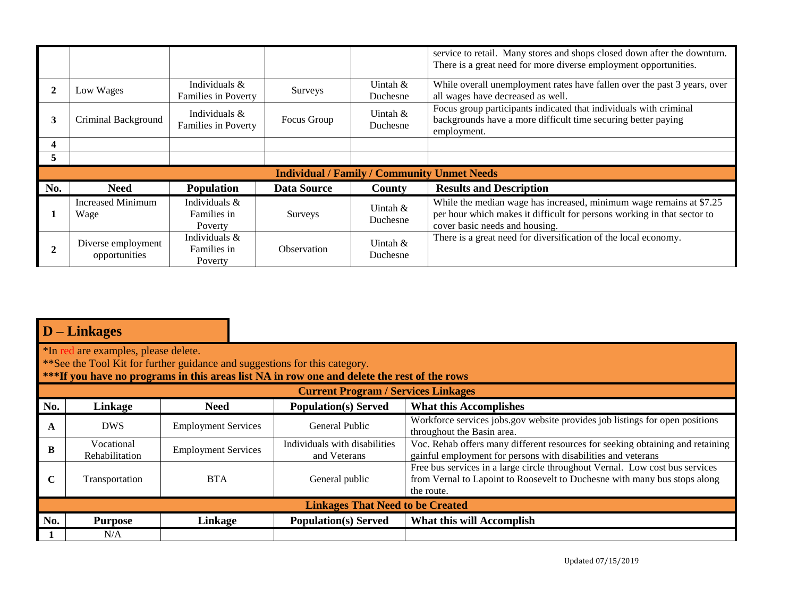|     |                                     |                                             |                    |                                                    | service to retail. Many stores and shops closed down after the downturn.<br>There is a great need for more diverse employment opportunities.                                     |
|-----|-------------------------------------|---------------------------------------------|--------------------|----------------------------------------------------|----------------------------------------------------------------------------------------------------------------------------------------------------------------------------------|
|     | Low Wages                           | Individuals &<br><b>Families in Poverty</b> | Surveys            | Uintah &<br>Duchesne                               | While overall unemployment rates have fallen over the past 3 years, over<br>all wages have decreased as well.                                                                    |
| 3   | Criminal Background                 | Individuals $\&$<br>Families in Poverty     | Focus Group        | Uintah $\&$<br>Duchesne                            | Focus group participants indicated that individuals with criminal<br>backgrounds have a more difficult time securing better paying<br>employment.                                |
| 4   |                                     |                                             |                    |                                                    |                                                                                                                                                                                  |
| 5   |                                     |                                             |                    |                                                    |                                                                                                                                                                                  |
|     |                                     |                                             |                    | <b>Individual / Family / Community Unmet Needs</b> |                                                                                                                                                                                  |
| No. | <b>Need</b>                         | <b>Population</b>                           | <b>Data Source</b> | County                                             | <b>Results and Description</b>                                                                                                                                                   |
|     | <b>Increased Minimum</b><br>Wage    | Individuals &<br>Families in<br>Poverty     | <b>Surveys</b>     | Uintah $\&$<br>Duchesne                            | While the median wage has increased, minimum wage remains at \$7.25<br>per hour which makes it difficult for persons working in that sector to<br>cover basic needs and housing. |
|     | Diverse employment<br>opportunities | Individuals &<br>Families in                | Observation        | Uintah $\&$<br>Duchesne                            | There is a great need for diversification of the local economy.                                                                                                                  |

\*In red are examples, please delete.

\*\*See the Tool Kit for further guidance and suggestions for this category.

|     | <b>Current Program / Services Linkages</b> |                            |                                               |                                                                                                                                                                         |  |  |
|-----|--------------------------------------------|----------------------------|-----------------------------------------------|-------------------------------------------------------------------------------------------------------------------------------------------------------------------------|--|--|
| No. | Linkage                                    | <b>Need</b>                | <b>Population(s)</b> Served                   | <b>What this Accomplishes</b>                                                                                                                                           |  |  |
|     | <b>DWS</b>                                 | <b>Employment Services</b> | General Public                                | Workforce services jobs.gov website provides job listings for open positions<br>throughout the Basin area.                                                              |  |  |
|     | Vocational<br>Rehabilitation               | <b>Employment Services</b> | Individuals with disabilities<br>and Veterans | Voc. Rehab offers many different resources for seeking obtaining and retaining<br>gainful employment for persons with disabilities and veterans                         |  |  |
|     | Transportation                             | <b>BTA</b>                 | General public                                | Free bus services in a large circle throughout Vernal. Low cost bus services<br>from Vernal to Lapoint to Roosevelt to Duchesne with many bus stops along<br>the route. |  |  |
|     | <b>Linkages That Need to be Created</b>    |                            |                                               |                                                                                                                                                                         |  |  |
| No. | <b>Purpose</b>                             | Linkage                    | <b>Population(s)</b> Served                   | What this will Accomplish                                                                                                                                               |  |  |
|     | N/A                                        |                            |                                               |                                                                                                                                                                         |  |  |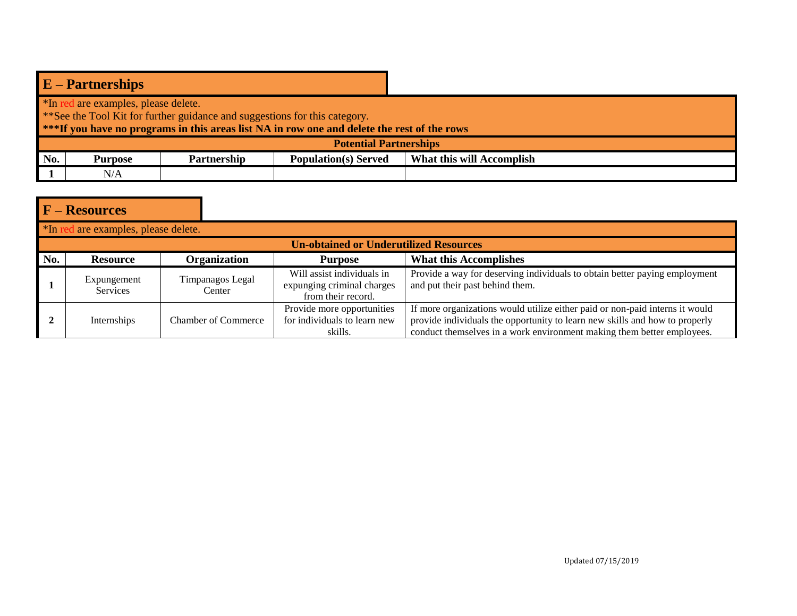|     | $E$ – Partnerships                                                          |             |                                                                                             |                           |  |  |
|-----|-----------------------------------------------------------------------------|-------------|---------------------------------------------------------------------------------------------|---------------------------|--|--|
|     | *In red are examples, please delete.                                        |             |                                                                                             |                           |  |  |
|     | ** See the Tool Kit for further guidance and suggestions for this category. |             |                                                                                             |                           |  |  |
|     |                                                                             |             | ***If you have no programs in this areas list NA in row one and delete the rest of the rows |                           |  |  |
|     | <b>Potential Partnerships</b>                                               |             |                                                                                             |                           |  |  |
| No. | <b>Purpose</b>                                                              | Partnership | <b>Population(s)</b> Served                                                                 | What this will Accomplish |  |  |
|     | N/A                                                                         |             |                                                                                             |                           |  |  |

|                                               | $F - Resources$                      |                            |                                                                                |                                                                                                                                                                                                                                       |  |  |  |
|-----------------------------------------------|--------------------------------------|----------------------------|--------------------------------------------------------------------------------|---------------------------------------------------------------------------------------------------------------------------------------------------------------------------------------------------------------------------------------|--|--|--|
|                                               | *In red are examples, please delete. |                            |                                                                                |                                                                                                                                                                                                                                       |  |  |  |
| <b>Un-obtained or Underutilized Resources</b> |                                      |                            |                                                                                |                                                                                                                                                                                                                                       |  |  |  |
| No.                                           | <b>Resource</b>                      | Organization               | <b>Purpose</b>                                                                 | <b>What this Accomplishes</b>                                                                                                                                                                                                         |  |  |  |
|                                               | Expungement<br><b>Services</b>       | Timpanagos Legal<br>Center | Will assist individuals in<br>expunging criminal charges<br>from their record. | Provide a way for deserving individuals to obtain better paying employment<br>and put their past behind them.                                                                                                                         |  |  |  |
|                                               | Internships                          | <b>Chamber of Commerce</b> | Provide more opportunities<br>for individuals to learn new<br>skills.          | If more organizations would utilize either paid or non-paid interns it would<br>provide individuals the opportunity to learn new skills and how to properly<br>conduct themselves in a work environment making them better employees. |  |  |  |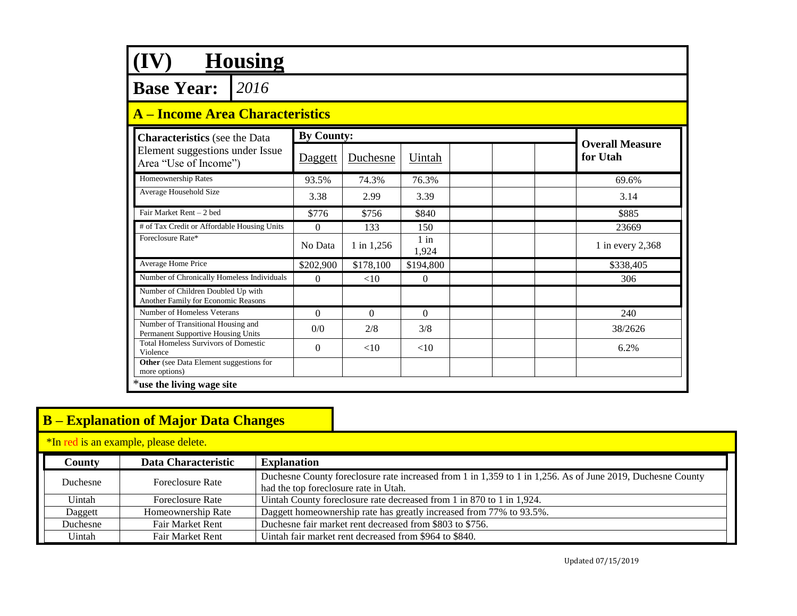| <b>Housing</b>                                                            |                   |              |                 |                                    |
|---------------------------------------------------------------------------|-------------------|--------------|-----------------|------------------------------------|
| 2016<br><b>Base Year:</b>                                                 |                   |              |                 |                                    |
| <b>A</b> – Income Area Characteristics                                    |                   |              |                 |                                    |
| <b>Characteristics</b> (see the Data                                      | <b>By County:</b> |              |                 |                                    |
| Element suggestions under Issue<br>Area "Use of Income")                  | Daggett           | Duchesne     | <b>Uintah</b>   | <b>Overall Measure</b><br>for Utah |
| Homeownership Rates                                                       | 93.5%             | 74.3%        | 76.3%           | 69.6%                              |
| Average Household Size                                                    | 3.38              | 2.99         | 3.39            | 3.14                               |
| Fair Market Rent - 2 bed                                                  | \$776             | \$756        | \$840           | \$885                              |
| # of Tax Credit or Affordable Housing Units                               | $\Omega$          | 133          | 150             | 23669                              |
| Foreclosure Rate*                                                         | No Data           | $1$ in 1,256 | $1$ in<br>1,924 | 1 in every 2,368                   |
| Average Home Price                                                        | \$202,900         | \$178,100    | \$194,800       | \$338,405                          |
| Number of Chronically Homeless Individuals                                | $\Omega$          | <10          | $\theta$        | 306                                |
| Number of Children Doubled Up with<br>Another Family for Economic Reasons |                   |              |                 |                                    |
| Number of Homeless Veterans                                               | $\Omega$          | $\Omega$     | $\Omega$        | 240                                |
| Number of Transitional Housing and<br>Permanent Supportive Housing Units  | 0/0               | 2/8          | 3/8             | 38/2626                            |
| <b>Total Homeless Survivors of Domestic</b><br>Violence                   | $\Omega$          | <10          | $<$ 10          | 6.2%                               |
| <b>Other</b> (see Data Element suggestions for<br>more options)           |                   |              |                 |                                    |

\*In red is an example, please delete.

| County   | Data Characteristic     | <b>Explanation</b>                                                                                                                                  |
|----------|-------------------------|-----------------------------------------------------------------------------------------------------------------------------------------------------|
| Duchesne | Foreclosure Rate        | Duchesne County foreclosure rate increased from 1 in 1,359 to 1 in 1,256. As of June 2019, Duchesne County<br>had the top foreclosure rate in Utah. |
| Uintah   | Foreclosure Rate        | Uintah County foreclosure rate decreased from 1 in 870 to 1 in 1,924.                                                                               |
| Daggett  | Homeownership Rate      | Daggett homeownership rate has greatly increased from 77% to 93.5%.                                                                                 |
| Duchesne | <b>Fair Market Rent</b> | Duchesne fair market rent decreased from \$803 to \$756.                                                                                            |
| Uintah   | <b>Fair Market Rent</b> | Uintah fair market rent decreased from \$964 to \$840.                                                                                              |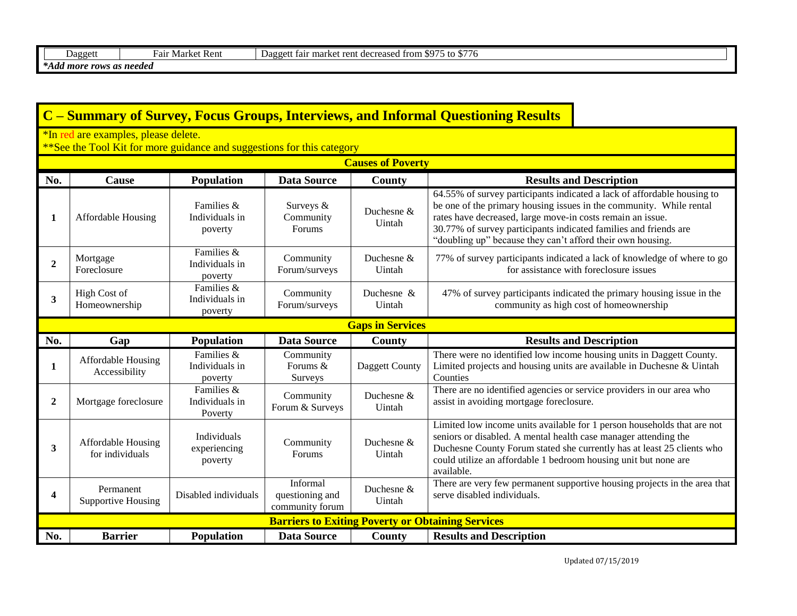| $\overline{\phantom{0}}$<br>Daggett | t Rent<br>Fair<br>Market | $\sim$ $\sim$ $\sim$ $\sim$<br>$\wedge$ $\equiv$ $\equiv$<br>marke<br>Daggett fair<br>t decreased t.<br>from<br>∶ rent<br>`to \$//u<br>NY. |  |  |  |
|-------------------------------------|--------------------------|--------------------------------------------------------------------------------------------------------------------------------------------|--|--|--|
| $*Ada$<br>? rows as needed<br>more  |                          |                                                                                                                                            |  |  |  |

|              | C – Summary of Survey, Focus Groups, Interviews, and Informal Questioning Results                              |                                            |                                                          |                         |                                                                                                                                                                                                                                                                                                                                                |  |
|--------------|----------------------------------------------------------------------------------------------------------------|--------------------------------------------|----------------------------------------------------------|-------------------------|------------------------------------------------------------------------------------------------------------------------------------------------------------------------------------------------------------------------------------------------------------------------------------------------------------------------------------------------|--|
|              | *In red are examples, please delete.<br>**See the Tool Kit for more guidance and suggestions for this category |                                            |                                                          |                         |                                                                                                                                                                                                                                                                                                                                                |  |
|              | <b>Causes of Poverty</b>                                                                                       |                                            |                                                          |                         |                                                                                                                                                                                                                                                                                                                                                |  |
| No.          | <b>Cause</b>                                                                                                   | Population                                 | <b>Data Source</b>                                       | County                  | <b>Results and Description</b>                                                                                                                                                                                                                                                                                                                 |  |
| 1            | <b>Affordable Housing</b>                                                                                      | Families &<br>Individuals in<br>poverty    | Surveys &<br>Community<br>Forums                         | Duchesne &<br>Uintah    | 64.55% of survey participants indicated a lack of affordable housing to<br>be one of the primary housing issues in the community. While rental<br>rates have decreased, large move-in costs remain an issue.<br>30.77% of survey participants indicated families and friends are<br>"doubling up" because they can't afford their own housing. |  |
| $\mathbf{2}$ | Mortgage<br>Foreclosure                                                                                        | Families $\&$<br>Individuals in<br>poverty | Community<br>Forum/surveys                               | Duchesne &<br>Uintah    | 77% of survey participants indicated a lack of knowledge of where to go<br>for assistance with foreclosure issues                                                                                                                                                                                                                              |  |
| 3            | <b>High Cost of</b><br>Homeownership                                                                           | Families &<br>Individuals in<br>poverty    | Community<br>Forum/surveys                               | Duchesne &<br>Uintah    | 47% of survey participants indicated the primary housing issue in the<br>community as high cost of homeownership                                                                                                                                                                                                                               |  |
|              |                                                                                                                |                                            |                                                          | <b>Gaps in Services</b> |                                                                                                                                                                                                                                                                                                                                                |  |
| No.          | Gap                                                                                                            | Population                                 | <b>Data Source</b>                                       | County                  | <b>Results and Description</b>                                                                                                                                                                                                                                                                                                                 |  |
| 1            | Affordable Housing<br>Accessibility                                                                            | Families &<br>Individuals in<br>poverty    | Community<br>Forums &<br>Surveys                         | Daggett County          | There were no identified low income housing units in Daggett County.<br>Limited projects and housing units are available in Duchesne & Uintah<br>Counties                                                                                                                                                                                      |  |
| $\mathbf{2}$ | Mortgage foreclosure                                                                                           | Families &                                 |                                                          |                         |                                                                                                                                                                                                                                                                                                                                                |  |
|              |                                                                                                                | Individuals in<br>Poverty                  | Community<br>Forum & Surveys                             | Duchesne &<br>Uintah    | There are no identified agencies or service providers in our area who<br>assist in avoiding mortgage foreclosure.                                                                                                                                                                                                                              |  |
| 3            | Affordable Housing<br>for individuals                                                                          | Individuals<br>experiencing<br>poverty     | Community<br><b>Forums</b>                               | Duchesne &<br>Uintah    | Limited low income units available for 1 person households that are not<br>seniors or disabled. A mental health case manager attending the<br>Duchesne County Forum stated she currently has at least 25 clients who<br>could utilize an affordable 1 bedroom housing unit but none are<br>available.                                          |  |
| 4            | Permanent<br><b>Supportive Housing</b>                                                                         | Disabled individuals                       | Informal<br>questioning and<br>community forum           | Duchesne &<br>Uintah    | There are very few permanent supportive housing projects in the area that<br>serve disabled individuals.                                                                                                                                                                                                                                       |  |
|              |                                                                                                                |                                            | <b>Barriers to Exiting Poverty or Obtaining Services</b> |                         |                                                                                                                                                                                                                                                                                                                                                |  |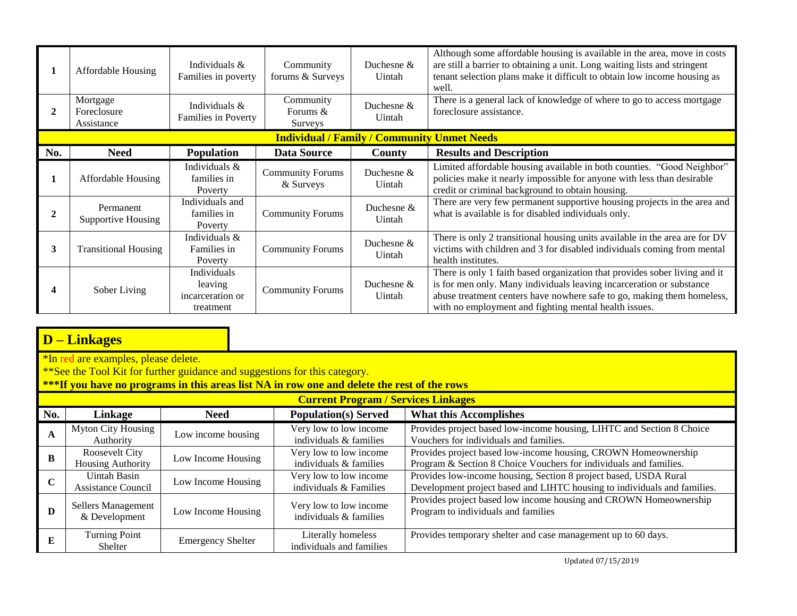|     | <b>Affordable Housing</b>              | Individuals &<br>Families in poverty                    | Community<br>forums & Surveys        | Duchesne $&$<br>Uintah                             | Although some affordable housing is available in the area, move in costs<br>are still a barrier to obtaining a unit. Long waiting lists and stringent<br>tenant selection plans make it difficult to obtain low income housing as<br>well.                                            |
|-----|----------------------------------------|---------------------------------------------------------|--------------------------------------|----------------------------------------------------|---------------------------------------------------------------------------------------------------------------------------------------------------------------------------------------------------------------------------------------------------------------------------------------|
|     | Mortgage<br>Foreclosure<br>Assistance  | Individuals $\&$<br>Families in Poverty                 | Community<br>Forums &<br>Surveys     | Duchesne &<br>Uintah                               | There is a general lack of knowledge of where to go to access mortgage<br>foreclosure assistance.                                                                                                                                                                                     |
|     |                                        |                                                         |                                      | <b>Individual / Family / Community Unmet Needs</b> |                                                                                                                                                                                                                                                                                       |
| No. | <b>Need</b>                            | <b>Population</b>                                       | <b>Data Source</b>                   | <b>County</b>                                      | <b>Results and Description</b>                                                                                                                                                                                                                                                        |
|     | <b>Affordable Housing</b>              | Individuals &<br>families in<br>Poverty                 | <b>Community Forums</b><br>& Surveys | Duchesne &<br>Uintah                               | Limited affordable housing available in both counties. "Good Neighbor"<br>policies make it nearly impossible for anyone with less than desirable<br>credit or criminal background to obtain housing.                                                                                  |
|     | Permanent<br><b>Supportive Housing</b> | Individuals and<br>families in<br>Poverty               | <b>Community Forums</b>              | Duchesne &<br>Uintah                               | There are very few permanent supportive housing projects in the area and<br>what is available is for disabled individuals only.                                                                                                                                                       |
| 3   | <b>Transitional Housing</b>            | Individuals &<br>Families in<br>Poverty                 | <b>Community Forums</b>              | Duchesne &<br>Uintah                               | There is only 2 transitional housing units available in the area are for DV<br>victims with children and 3 for disabled individuals coming from mental<br>health institutes.                                                                                                          |
|     | Sober Living                           | Individuals<br>leaving<br>incarceration or<br>treatment | <b>Community Forums</b>              | Duchesne $&$<br>Uintah                             | There is only 1 faith based organization that provides sober living and it<br>is for men only. Many individuals leaving incarceration or substance<br>abuse treatment centers have nowhere safe to go, making them homeless,<br>with no employment and fighting mental health issues. |

\*In red are examples, please delete.

\*\*See the Tool Kit for further guidance and suggestions for this category.

|             | <b>Current Program / Services Linkages</b> |                          |                                                  |                                                                                                                                              |  |  |  |
|-------------|--------------------------------------------|--------------------------|--------------------------------------------------|----------------------------------------------------------------------------------------------------------------------------------------------|--|--|--|
| No.         | Linkage                                    | <b>Need</b>              | <b>Population(s)</b> Served                      | <b>What this Accomplishes</b>                                                                                                                |  |  |  |
| A           | Myton City Housing<br>Authority            | Low income housing       | Very low to low income<br>individuals & families | Provides project based low-income housing, LIHTC and Section 8 Choice<br>Vouchers for individuals and families.                              |  |  |  |
| B           | Roosevelt City<br>Housing Authority        | Low Income Housing       | Very low to low income<br>individuals & families | Provides project based low-income housing, CROWN Homeownership<br>Program & Section 8 Choice Vouchers for individuals and families.          |  |  |  |
| $\mathbf C$ | Uintah Basin<br>Assistance Council         | Low Income Housing       | Very low to low income<br>individuals & Families | Provides low-income housing, Section 8 project based, USDA Rural<br>Development project based and LIHTC housing to individuals and families. |  |  |  |
| D           | Sellers Management<br>& Development        | Low Income Housing       | Very low to low income<br>individuals & families | Provides project based low income housing and CROWN Homeownership<br>Program to individuals and families                                     |  |  |  |
| E           | <b>Turning Point</b><br>Shelter            | <b>Emergency Shelter</b> | Literally homeless<br>individuals and families   | Provides temporary shelter and case management up to 60 days.                                                                                |  |  |  |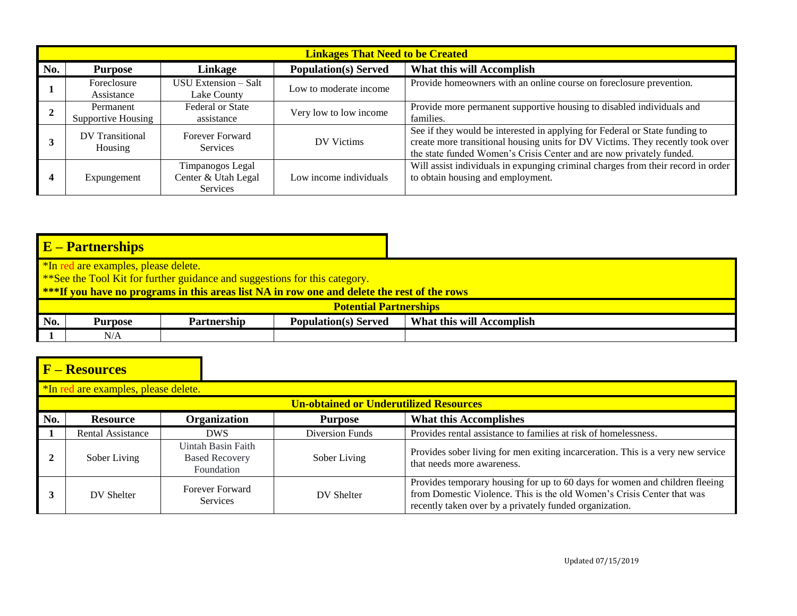|     | <b>Linkages That Need to be Created</b> |                                                     |                             |                                                                                                                                                                                                                                       |  |  |  |
|-----|-----------------------------------------|-----------------------------------------------------|-----------------------------|---------------------------------------------------------------------------------------------------------------------------------------------------------------------------------------------------------------------------------------|--|--|--|
| No. | <b>Purpose</b>                          | Linkage                                             | <b>Population(s)</b> Served | What this will Accomplish                                                                                                                                                                                                             |  |  |  |
|     | Foreclosure<br>Assistance               | USU Extension – Salt<br>Lake County                 | Low to moderate income      | Provide homeowners with an online course on foreclosure prevention.                                                                                                                                                                   |  |  |  |
|     | Permanent<br>Supportive Housing         | <b>Federal or State</b><br>assistance               | Very low to low income      | Provide more permanent supportive housing to disabled individuals and<br>families.                                                                                                                                                    |  |  |  |
|     | DV Transitional<br>Housing              | Forever Forward<br><b>Services</b>                  | DV Victims                  | See if they would be interested in applying for Federal or State funding to<br>create more transitional housing units for DV Victims. They recently took over<br>the state funded Women's Crisis Center and are now privately funded. |  |  |  |
|     | Expungement                             | Timpanogos Legal<br>Center & Utah Legal<br>Services | Low income individuals      | Will assist individuals in expunging criminal charges from their record in order<br>to obtain housing and employment.                                                                                                                 |  |  |  |

\*In red are examples, please delete.

\*\*See the Tool Kit for further guidance and suggestions for this category.

|     | $\blacksquare$<br>Potential Partnerships                  |  |  |                              |  |  |
|-----|-----------------------------------------------------------|--|--|------------------------------|--|--|
| No. | <b>Partnership</b><br>Population(s)<br>Purpose<br>`Served |  |  | What this will<br>Accomplish |  |  |
|     | $\sim$ $\sim$ $\sim$<br>NI 77<br>.                        |  |  |                              |  |  |

|     | $F -$ Resources                      |                                                           |                                               |                                                                                                                                                                                                                  |
|-----|--------------------------------------|-----------------------------------------------------------|-----------------------------------------------|------------------------------------------------------------------------------------------------------------------------------------------------------------------------------------------------------------------|
|     | *In red are examples, please delete. |                                                           |                                               |                                                                                                                                                                                                                  |
|     |                                      |                                                           | <b>Un-obtained or Underutilized Resources</b> |                                                                                                                                                                                                                  |
| No. | <b>Resource</b>                      | <b>Organization</b>                                       | <b>Purpose</b>                                | <b>What this Accomplishes</b>                                                                                                                                                                                    |
|     | Rental Assistance                    | <b>DWS</b>                                                | Diversion Funds                               | Provides rental assistance to families at risk of homelessness.                                                                                                                                                  |
|     | Sober Living                         | Uintah Basin Faith<br><b>Based Recovery</b><br>Foundation | Sober Living                                  | Provides sober living for men exiting incarceration. This is a very new service<br>that needs more awareness.                                                                                                    |
|     | DV Shelter                           | Forever Forward<br><b>Services</b>                        | DV Shelter                                    | Provides temporary housing for up to 60 days for women and children fleeing<br>from Domestic Violence. This is the old Women's Crisis Center that was<br>recently taken over by a privately funded organization. |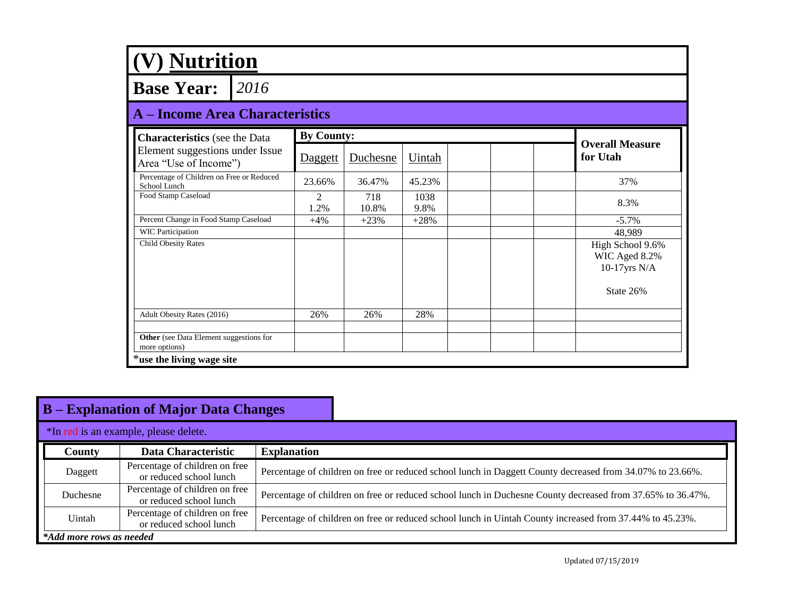| (V) Nutrition                                             |                   |              |              |  |                                                      |
|-----------------------------------------------------------|-------------------|--------------|--------------|--|------------------------------------------------------|
| $\vert$ 2016<br><b>Base Year:</b>                         |                   |              |              |  |                                                      |
| <b>A</b> – Income Area Characteristics                    |                   |              |              |  |                                                      |
| <b>Characteristics</b> (see the Data                      | <b>By County:</b> |              |              |  | <b>Overall Measure</b>                               |
| Element suggestions under Issue<br>Area "Use of Income")  | Daggett           | Duchesne     | Uintah       |  | for Utah                                             |
| Percentage of Children on Free or Reduced<br>School Lunch | 23.66%            | 36.47%       | 45.23%       |  | 37%                                                  |
| Food Stamp Caseload                                       | 2<br>1.2%         | 718<br>10.8% | 1038<br>9.8% |  | 8.3%                                                 |
| Percent Change in Food Stamp Caseload                     | $+4%$             | $+23%$       | $+28%$       |  | $-5.7%$                                              |
| <b>WIC Participation</b>                                  |                   |              |              |  | 48,989                                               |
| Child Obesity Rates                                       |                   |              |              |  | High School 9.6%<br>WIC Aged 8.2%<br>$10-17$ yrs N/A |
|                                                           |                   |              |              |  | State 26%                                            |
| Adult Obesity Rates (2016)                                | 26%               | 26%          | 28%          |  |                                                      |
| Other (see Data Element suggestions for<br>more options)  |                   |              |              |  |                                                      |
| *use the living wage site                                 |                   |              |              |  |                                                      |

| <b>B</b> – Explanation of Major Data Changes |                                                           |                                                                                                            |  |  |
|----------------------------------------------|-----------------------------------------------------------|------------------------------------------------------------------------------------------------------------|--|--|
|                                              | *In red is an example, please delete.                     |                                                                                                            |  |  |
| County                                       | Data Characteristic                                       | <b>Explanation</b>                                                                                         |  |  |
| Daggett                                      | Percentage of children on free<br>or reduced school lunch | Percentage of children on free or reduced school lunch in Daggett County decreased from 34.07% to 23.66%.  |  |  |
| Duchesne                                     | Percentage of children on free<br>or reduced school lunch | Percentage of children on free or reduced school lunch in Duchesne County decreased from 37.65% to 36.47%. |  |  |
| Uintah                                       | Percentage of children on free<br>or reduced school lunch | Percentage of children on free or reduced school lunch in Uintah County increased from 37.44% to 45.23%.   |  |  |
| *Add more rows as needed                     |                                                           |                                                                                                            |  |  |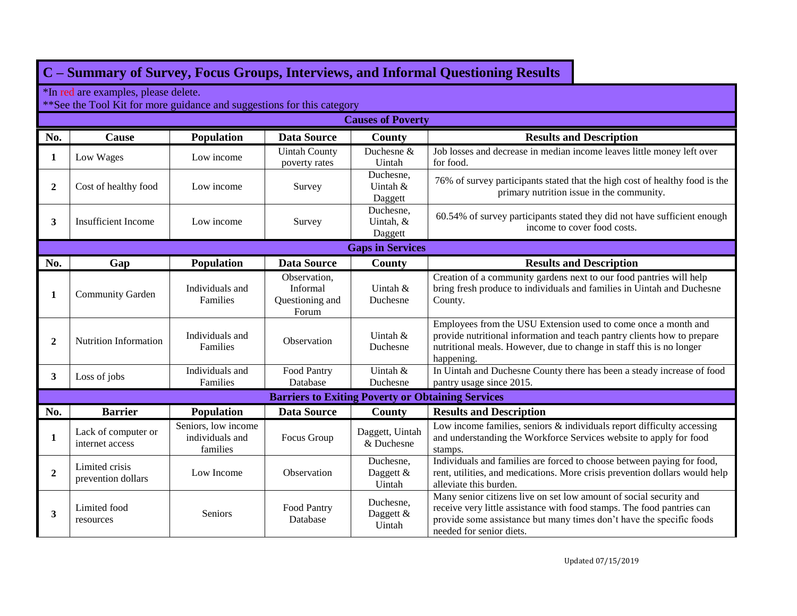\*In red are examples, please delete.

|                | $\sim$ and $\sim$ 1001 Km for filore guidance and suggestions for this eategor.<br><b>Causes of Poverty</b> |                                                    |                                                          |                                   |                                                                                                                                                                                                                                                  |  |  |
|----------------|-------------------------------------------------------------------------------------------------------------|----------------------------------------------------|----------------------------------------------------------|-----------------------------------|--------------------------------------------------------------------------------------------------------------------------------------------------------------------------------------------------------------------------------------------------|--|--|
| No.            | Cause                                                                                                       | Population                                         | <b>Data Source</b>                                       | County                            | <b>Results and Description</b>                                                                                                                                                                                                                   |  |  |
| 1              | Low Wages                                                                                                   | Low income                                         | <b>Uintah County</b><br>poverty rates                    | Duchesne &<br>Uintah              | Job losses and decrease in median income leaves little money left over<br>for food.                                                                                                                                                              |  |  |
| $\overline{2}$ | Cost of healthy food                                                                                        | Low income                                         | Survey                                                   | Duchesne,<br>Uintah &<br>Daggett  | 76% of survey participants stated that the high cost of healthy food is the<br>primary nutrition issue in the community.                                                                                                                         |  |  |
| $\mathbf{3}$   | <b>Insufficient Income</b>                                                                                  | Low income                                         | Survey                                                   | Duchesne,<br>Uintah, &<br>Daggett | 60.54% of survey participants stated they did not have sufficient enough<br>income to cover food costs.                                                                                                                                          |  |  |
|                |                                                                                                             |                                                    |                                                          | <b>Gaps in Services</b>           |                                                                                                                                                                                                                                                  |  |  |
| No.            | Gap                                                                                                         | Population                                         | <b>Data Source</b>                                       | <b>County</b>                     | <b>Results and Description</b>                                                                                                                                                                                                                   |  |  |
| 1              | <b>Community Garden</b>                                                                                     | Individuals and<br>Families                        | Observation,<br>Informal<br>Questioning and<br>Forum     | Uintah $\&$<br>Duchesne           | Creation of a community gardens next to our food pantries will help<br>bring fresh produce to individuals and families in Uintah and Duchesne<br>County.                                                                                         |  |  |
| $\overline{2}$ | Nutrition Information                                                                                       | Individuals and<br>Families                        | Observation                                              | Uintah &<br>Duchesne              | Employees from the USU Extension used to come once a month and<br>provide nutritional information and teach pantry clients how to prepare<br>nutritional meals. However, due to change in staff this is no longer<br>happening.                  |  |  |
| $3^{\circ}$    | Loss of jobs                                                                                                | Individuals and<br>Families                        | Food Pantry<br>Database                                  | Uintah &<br>Duchesne              | In Uintah and Duchesne County there has been a steady increase of food<br>pantry usage since 2015.                                                                                                                                               |  |  |
|                |                                                                                                             |                                                    | <b>Barriers to Exiting Poverty or Obtaining Services</b> |                                   |                                                                                                                                                                                                                                                  |  |  |
| No.            | <b>Barrier</b>                                                                                              | Population                                         | <b>Data Source</b>                                       | County                            | <b>Results and Description</b>                                                                                                                                                                                                                   |  |  |
| $\mathbf{1}$   | Lack of computer or<br>internet access                                                                      | Seniors, low income<br>individuals and<br>families | Focus Group                                              | Daggett, Uintah<br>& Duchesne     | Low income families, seniors & individuals report difficulty accessing<br>and understanding the Workforce Services website to apply for food<br>stamps.                                                                                          |  |  |
| $\overline{2}$ | Limited crisis<br>prevention dollars                                                                        | Low Income                                         | Observation                                              | Duchesne,<br>Daggett &<br>Uintah  | Individuals and families are forced to choose between paying for food,<br>rent, utilities, and medications. More crisis prevention dollars would help<br>alleviate this burden.                                                                  |  |  |
| 3              | Limited food<br>resources                                                                                   | Seniors                                            | Food Pantry<br>Database                                  | Duchesne,<br>Daggett &<br>Uintah  | Many senior citizens live on set low amount of social security and<br>receive very little assistance with food stamps. The food pantries can<br>provide some assistance but many times don't have the specific foods<br>needed for senior diets. |  |  |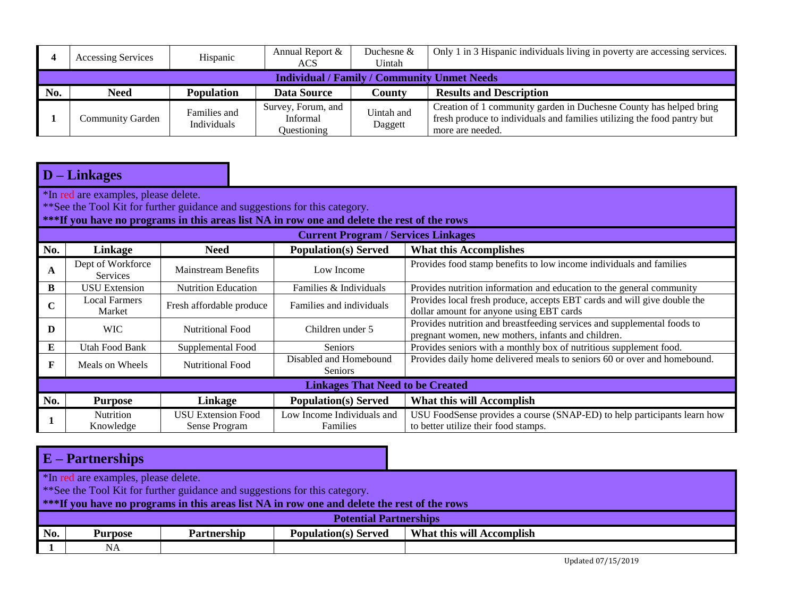|                                                    | <b>Accessing Services</b> | Hispanic                           | Annual Report &                               | Duchesne &            | Only 1 in 3 Hispanic individuals living in poverty are accessing services.                                                                                        |  |
|----------------------------------------------------|---------------------------|------------------------------------|-----------------------------------------------|-----------------------|-------------------------------------------------------------------------------------------------------------------------------------------------------------------|--|
|                                                    |                           |                                    | ACS                                           | Uintah                |                                                                                                                                                                   |  |
| <b>Individual / Family / Community Unmet Needs</b> |                           |                                    |                                               |                       |                                                                                                                                                                   |  |
| No.                                                | <b>Need</b>               | <b>Population</b>                  | Data Source                                   | Countv                | <b>Results and Description</b>                                                                                                                                    |  |
|                                                    | Community Garden          | Families and<br><b>Individuals</b> | Survey, Forum, and<br>Informal<br>Ouestioning | Uintah and<br>Daggett | Creation of 1 community garden in Duchesne County has helped bring<br>fresh produce to individuals and families utilizing the food pantry but<br>more are needed. |  |

|             | <b>D</b> – Linkages                                                                                                                                                                                                |                                            |                                            |                                                                                                                               |  |  |  |
|-------------|--------------------------------------------------------------------------------------------------------------------------------------------------------------------------------------------------------------------|--------------------------------------------|--------------------------------------------|-------------------------------------------------------------------------------------------------------------------------------|--|--|--|
|             | *In red are examples, please delete.<br>** See the Tool Kit for further guidance and suggestions for this category.<br>***If you have no programs in this areas list NA in row one and delete the rest of the rows |                                            |                                            |                                                                                                                               |  |  |  |
|             |                                                                                                                                                                                                                    |                                            | <b>Current Program / Services Linkages</b> |                                                                                                                               |  |  |  |
| No.         | Linkage                                                                                                                                                                                                            | <b>Need</b>                                | <b>Population(s)</b> Served                | <b>What this Accomplishes</b>                                                                                                 |  |  |  |
| A           | Dept of Workforce<br><b>Services</b>                                                                                                                                                                               | <b>Mainstream Benefits</b>                 | Low Income                                 | Provides food stamp benefits to low income individuals and families                                                           |  |  |  |
| B           | <b>USU</b> Extension                                                                                                                                                                                               | <b>Nutrition Education</b>                 | Families & Individuals                     | Provides nutrition information and education to the general community                                                         |  |  |  |
| $\mathbf C$ | <b>Local Farmers</b><br>Market                                                                                                                                                                                     | Fresh affordable produce                   | Families and individuals                   | Provides local fresh produce, accepts EBT cards and will give double the<br>dollar amount for anyone using EBT cards          |  |  |  |
| D           | <b>WIC</b>                                                                                                                                                                                                         | Nutritional Food                           | Children under 5                           | Provides nutrition and breastfeeding services and supplemental foods to<br>pregnant women, new mothers, infants and children. |  |  |  |
| E           | <b>Utah Food Bank</b>                                                                                                                                                                                              | Supplemental Food                          | Seniors                                    | Provides seniors with a monthly box of nutritious supplement food.                                                            |  |  |  |
| $\mathbf F$ | Meals on Wheels                                                                                                                                                                                                    | <b>Nutritional Food</b>                    | Disabled and Homebound<br>Seniors          | Provides daily home delivered meals to seniors 60 or over and homebound.                                                      |  |  |  |
|             | <b>Linkages That Need to be Created</b>                                                                                                                                                                            |                                            |                                            |                                                                                                                               |  |  |  |
| No.         | <b>Purpose</b>                                                                                                                                                                                                     | Linkage                                    | <b>Population(s)</b> Served                | What this will Accomplish                                                                                                     |  |  |  |
|             | Nutrition<br>Knowledge                                                                                                                                                                                             | <b>USU Extension Food</b><br>Sense Program | Low Income Individuals and<br>Families     | USU FoodSense provides a course (SNAP-ED) to help participants learn how<br>to better utilize their food stamps.              |  |  |  |

|     | $E -$ Partnerships                                                                          |                                                                            |                             |                           |  |  |
|-----|---------------------------------------------------------------------------------------------|----------------------------------------------------------------------------|-----------------------------|---------------------------|--|--|
|     | *In red are examples, please delete.                                                        |                                                                            |                             |                           |  |  |
|     |                                                                                             | **See the Tool Kit for further guidance and suggestions for this category. |                             |                           |  |  |
|     | ***If you have no programs in this areas list NA in row one and delete the rest of the rows |                                                                            |                             |                           |  |  |
|     | <b>Potential Partnerships</b>                                                               |                                                                            |                             |                           |  |  |
| No. | <b>Purpose</b>                                                                              | Partnership                                                                | <b>Population(s)</b> Served | What this will Accomplish |  |  |
|     | NA                                                                                          |                                                                            |                             |                           |  |  |

Updated 07/15/2019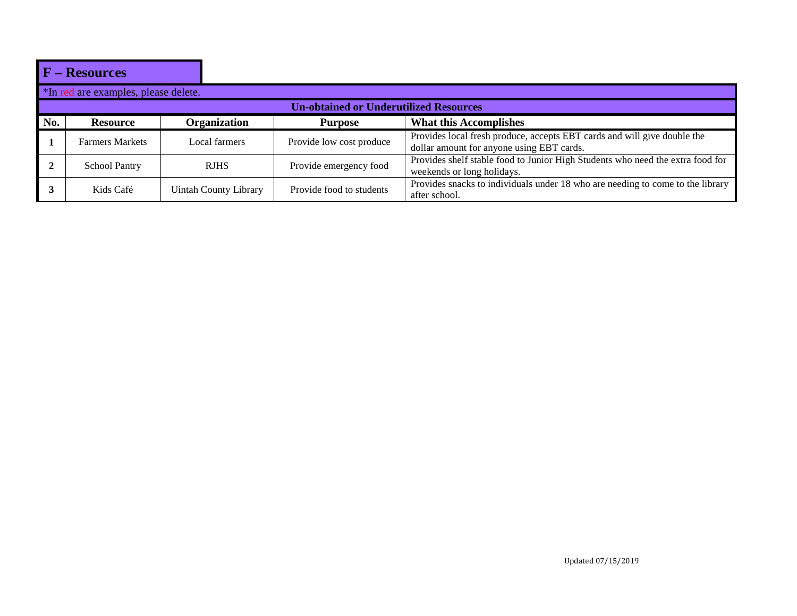|     | $F -$ Resources                      |                              |                                               |                                                                                                                       |
|-----|--------------------------------------|------------------------------|-----------------------------------------------|-----------------------------------------------------------------------------------------------------------------------|
|     | *In red are examples, please delete. |                              |                                               |                                                                                                                       |
|     |                                      |                              | <b>Un-obtained or Underutilized Resources</b> |                                                                                                                       |
| No. | <b>Resource</b>                      | Organization                 | <b>Purpose</b>                                | <b>What this Accomplishes</b>                                                                                         |
|     | <b>Farmers Markets</b>               | Local farmers                | Provide low cost produce                      | Provides local fresh produce, accepts EBT cards and will give double the<br>dollar amount for anyone using EBT cards. |
|     | <b>School Pantry</b>                 | <b>RJHS</b>                  | Provide emergency food                        | Provides shelf stable food to Junior High Students who need the extra food for<br>weekends or long holidays.          |
|     | Kids Café                            | <b>Uintah County Library</b> | Provide food to students                      | Provides snacks to individuals under 18 who are needing to come to the library<br>after school.                       |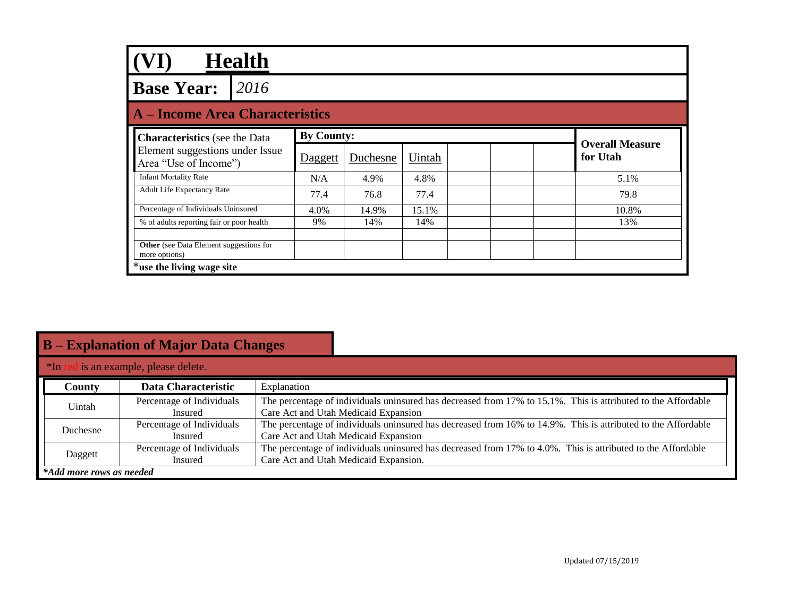| <b>Health</b>                                                                         |                                        |       |                                    |  |       |  |
|---------------------------------------------------------------------------------------|----------------------------------------|-------|------------------------------------|--|-------|--|
| 2016<br><b>Base Year:</b>                                                             |                                        |       |                                    |  |       |  |
|                                                                                       | <b>A</b> – Income Area Characteristics |       |                                    |  |       |  |
| <b>Characteristics</b> (see the Data                                                  | <b>By County:</b>                      |       |                                    |  |       |  |
| Element suggestions under Issue<br>Area "Use of Income")                              | Uintah<br>Duchesne<br>Daggett          |       | <b>Overall Measure</b><br>for Utah |  |       |  |
| <b>Infant Mortality Rate</b>                                                          | N/A                                    | 4.9%  | 4.8%                               |  | 5.1%  |  |
| <b>Adult Life Expectancy Rate</b>                                                     | 77.4                                   | 76.8  | 77.4                               |  | 79.8  |  |
| Percentage of Individuals Uninsured                                                   | 4.0%                                   | 14.9% | 15.1%                              |  | 10.8% |  |
| % of adults reporting fair or poor health                                             | 9%                                     | 14%   | 14%                                |  | 13%   |  |
| Other (see Data Element suggestions for<br>more options)<br>*use the living wage site |                                        |       |                                    |  |       |  |

|  |  | <b>B</b> – Explanation of Major Data Changes |  |
|--|--|----------------------------------------------|--|
|  |  |                                              |  |

| $*$ In   | d is an example, please delete. |                                                                                                               |  |  |  |  |
|----------|---------------------------------|---------------------------------------------------------------------------------------------------------------|--|--|--|--|
| County   | Explanation                     |                                                                                                               |  |  |  |  |
| Uintah   | Percentage of Individuals       | The percentage of individuals uninsured has decreased from 17% to 15.1%. This is attributed to the Affordable |  |  |  |  |
|          | <b>Insured</b>                  | Care Act and Utah Medicaid Expansion                                                                          |  |  |  |  |
| Duchesne | Percentage of Individuals       | The percentage of individuals uninsured has decreased from 16% to 14.9%. This is attributed to the Affordable |  |  |  |  |
|          | Insured                         | Care Act and Utah Medicaid Expansion                                                                          |  |  |  |  |
|          | Percentage of Individuals       | The percentage of individuals uninsured has decreased from 17% to 4.0%. This is attributed to the Affordable  |  |  |  |  |
| Daggett  | <b>Insured</b>                  | Care Act and Utah Medicaid Expansion.                                                                         |  |  |  |  |
|          | *Add more rows as needed        |                                                                                                               |  |  |  |  |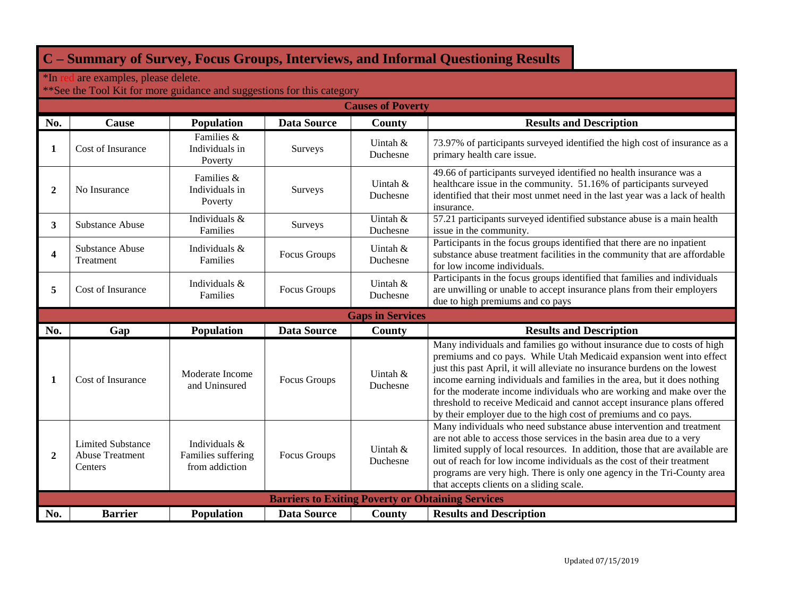\*In red are examples, please delete.

|                         |                                                               |                                                       |                     | <b>Causes of Poverty</b> |                                                                                                                                                                                                                                                                                                                                                                                                                                                                                                                                  |  |  |
|-------------------------|---------------------------------------------------------------|-------------------------------------------------------|---------------------|--------------------------|----------------------------------------------------------------------------------------------------------------------------------------------------------------------------------------------------------------------------------------------------------------------------------------------------------------------------------------------------------------------------------------------------------------------------------------------------------------------------------------------------------------------------------|--|--|
| No.                     | Cause                                                         | <b>Population</b>                                     | <b>Data Source</b>  | County                   | <b>Results and Description</b>                                                                                                                                                                                                                                                                                                                                                                                                                                                                                                   |  |  |
| 1                       | Cost of Insurance                                             | Families &<br>Individuals in<br>Poverty               | Surveys             | Uintah &<br>Duchesne     | 73.97% of participants surveyed identified the high cost of insurance as a<br>primary health care issue.                                                                                                                                                                                                                                                                                                                                                                                                                         |  |  |
| $\mathbf{2}$            | No Insurance                                                  | Families &<br>Individuals in<br>Poverty               | Surveys             | Uintah &<br>Duchesne     | 49.66 of participants surveyed identified no health insurance was a<br>healthcare issue in the community. 51.16% of participants surveyed<br>identified that their most unmet need in the last year was a lack of health<br>insurance.                                                                                                                                                                                                                                                                                           |  |  |
| 3                       | <b>Substance Abuse</b>                                        | Individuals &<br>Families                             | Surveys             | Uintah &<br>Duchesne     | 57.21 participants surveyed identified substance abuse is a main health<br>issue in the community.                                                                                                                                                                                                                                                                                                                                                                                                                               |  |  |
| $\overline{\mathbf{4}}$ | Substance Abuse<br>Treatment                                  | Individuals &<br>Families                             | <b>Focus Groups</b> | Uintah &<br>Duchesne     | Participants in the focus groups identified that there are no inpatient<br>substance abuse treatment facilities in the community that are affordable<br>for low income individuals.                                                                                                                                                                                                                                                                                                                                              |  |  |
| 5                       | Cost of Insurance                                             | Individuals &<br>Families                             | Focus Groups        | Uintah &<br>Duchesne     | Participants in the focus groups identified that families and individuals<br>are unwilling or unable to accept insurance plans from their employers<br>due to high premiums and co pays                                                                                                                                                                                                                                                                                                                                          |  |  |
|                         |                                                               |                                                       |                     | <b>Gaps in Services</b>  |                                                                                                                                                                                                                                                                                                                                                                                                                                                                                                                                  |  |  |
| No.                     | Gap                                                           | <b>Population</b>                                     | <b>Data Source</b>  | <b>County</b>            | <b>Results and Description</b>                                                                                                                                                                                                                                                                                                                                                                                                                                                                                                   |  |  |
| 1                       | Cost of Insurance                                             | Moderate Income<br>and Uninsured                      | <b>Focus Groups</b> | Uintah &<br>Duchesne     | Many individuals and families go without insurance due to costs of high<br>premiums and co pays. While Utah Medicaid expansion went into effect<br>just this past April, it will alleviate no insurance burdens on the lowest<br>income earning individuals and families in the area, but it does nothing<br>for the moderate income individuals who are working and make over the<br>threshold to receive Medicaid and cannot accept insurance plans offered<br>by their employer due to the high cost of premiums and co pays. |  |  |
| 2                       | <b>Limited Substance</b><br><b>Abuse Treatment</b><br>Centers | Individuals &<br>Families suffering<br>from addiction | Focus Groups        | Uintah &<br>Duchesne     | Many individuals who need substance abuse intervention and treatment<br>are not able to access those services in the basin area due to a very<br>limited supply of local resources. In addition, those that are available are<br>out of reach for low income individuals as the cost of their treatment<br>programs are very high. There is only one agency in the Tri-County area<br>that accepts clients on a sliding scale.                                                                                                   |  |  |
|                         | <b>Barriers to Exiting Poverty or Obtaining Services</b>      |                                                       |                     |                          |                                                                                                                                                                                                                                                                                                                                                                                                                                                                                                                                  |  |  |
| No.                     | <b>Barrier</b>                                                | <b>Population</b>                                     | <b>Data Source</b>  |                          | <b>Results and Description</b>                                                                                                                                                                                                                                                                                                                                                                                                                                                                                                   |  |  |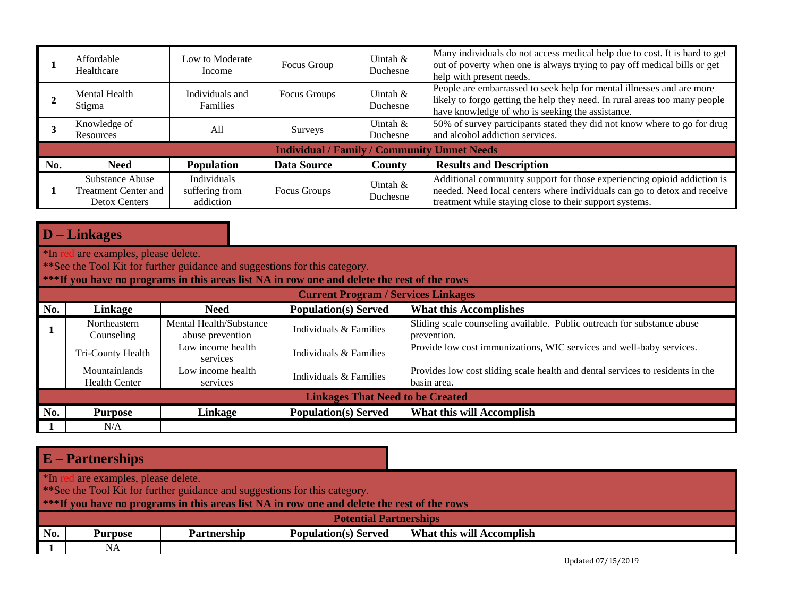|     | Affordable<br>Healthcare                                               | Low to Moderate<br>Income                         | Focus Group  | Uintah $&$<br>Duchesne                             | Many individuals do not access medical help due to cost. It is hard to get<br>out of poverty when one is always trying to pay off medical bills or get<br>help with present needs.                             |
|-----|------------------------------------------------------------------------|---------------------------------------------------|--------------|----------------------------------------------------|----------------------------------------------------------------------------------------------------------------------------------------------------------------------------------------------------------------|
|     | Mental Health<br>Stigma                                                | Individuals and<br><b>Families</b>                | Focus Groups | Uintah &<br>Duchesne                               | People are embarrassed to seek help for mental illnesses and are more<br>likely to forgo getting the help they need. In rural areas too many people<br>have knowledge of who is seeking the assistance.        |
|     | Knowledge of<br>Resources                                              | A11                                               | Surveys      | Uintah $\&$<br>Duchesne                            | 50% of survey participants stated they did not know where to go for drug<br>and alcohol addiction services.                                                                                                    |
|     |                                                                        |                                                   |              | <b>Individual / Family / Community Unmet Needs</b> |                                                                                                                                                                                                                |
| No. | <b>Need</b>                                                            | <b>Population</b>                                 | Data Source  | <b>County</b>                                      | <b>Results and Description</b>                                                                                                                                                                                 |
|     | Substance Abuse<br><b>Treatment Center and</b><br><b>Detox Centers</b> | <b>Individuals</b><br>suffering from<br>addiction | Focus Groups | Uintah $\&$<br>Duchesne                            | Additional community support for those experiencing opioid addiction is<br>needed. Need local centers where individuals can go to detox and receive<br>treatment while staying close to their support systems. |

\*In red are examples, please delete.

\*\*See the Tool Kit for further guidance and suggestions for this category.

**\*\*\*If you have no programs in this areas list NA in row one and delete the rest of the rows**

|     | <b>Current Program / Services Linkages</b> |                                             |                             |                                                                                        |  |  |  |
|-----|--------------------------------------------|---------------------------------------------|-----------------------------|----------------------------------------------------------------------------------------|--|--|--|
| No. | Linkage                                    | <b>Need</b>                                 | <b>Population(s)</b> Served | <b>What this Accomplishes</b>                                                          |  |  |  |
|     | Northeastern<br>Counseling                 | Mental Health/Substance<br>abuse prevention | Individuals & Families      | Sliding scale counseling available. Public outreach for substance abuse<br>prevention. |  |  |  |
|     | Tri-County Health                          | Low income health<br>services               | Individuals & Families      | Provide low cost immunizations, WIC services and well-baby services.                   |  |  |  |
|     | Mountainlands                              | Low income health                           | Individuals & Families      | Provides low cost sliding scale health and dental services to residents in the         |  |  |  |
|     | <b>Health Center</b>                       | services                                    |                             | basin area.                                                                            |  |  |  |
|     | <b>Linkages That Need to be Created</b>    |                                             |                             |                                                                                        |  |  |  |
| No. | <b>Purpose</b>                             | Linkage                                     | <b>Population(s)</b> Served | What this will Accomplish                                                              |  |  |  |
|     | N/A                                        |                                             |                             |                                                                                        |  |  |  |

| $E -$ Partnerships |                                                                            |             |                                                                                             |                           |  |  |
|--------------------|----------------------------------------------------------------------------|-------------|---------------------------------------------------------------------------------------------|---------------------------|--|--|
| $ \nVert$ *In      | d are examples, please delete.                                             |             |                                                                                             |                           |  |  |
|                    | **See the Tool Kit for further guidance and suggestions for this category. |             |                                                                                             |                           |  |  |
|                    |                                                                            |             | ***If you have no programs in this areas list NA in row one and delete the rest of the rows |                           |  |  |
|                    | <b>Potential Partnerships</b>                                              |             |                                                                                             |                           |  |  |
| No.                | <b>Purpose</b>                                                             | Partnership | <b>Population(s)</b> Served                                                                 | What this will Accomplish |  |  |
|                    | NA                                                                         |             |                                                                                             |                           |  |  |

Updated 07/15/2019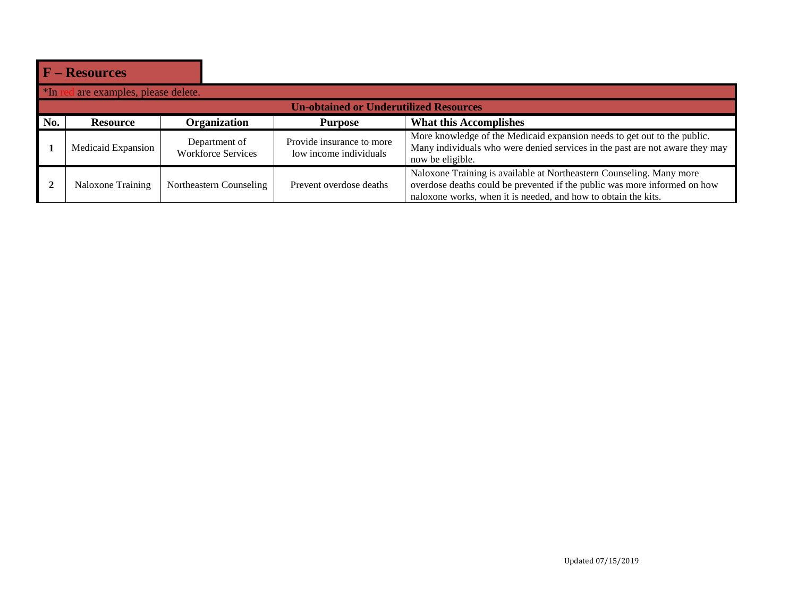|       | <b>F</b> – Resources           |                                            |                                                     |                                                                                                                                                                                                                     |
|-------|--------------------------------|--------------------------------------------|-----------------------------------------------------|---------------------------------------------------------------------------------------------------------------------------------------------------------------------------------------------------------------------|
| $*In$ | d are examples, please delete. |                                            |                                                     |                                                                                                                                                                                                                     |
|       |                                |                                            | <b>Un-obtained or Underutilized Resources</b>       |                                                                                                                                                                                                                     |
| No.   | <b>Resource</b>                | Organization                               | <b>Purpose</b>                                      | <b>What this Accomplishes</b>                                                                                                                                                                                       |
|       | Medicaid Expansion             | Department of<br><b>Workforce Services</b> | Provide insurance to more<br>low income individuals | More knowledge of the Medicaid expansion needs to get out to the public.<br>Many individuals who were denied services in the past are not aware they may<br>now be eligible.                                        |
|       | Naloxone Training              | Northeastern Counseling                    | Prevent overdose deaths                             | Naloxone Training is available at Northeastern Counseling. Many more<br>overdose deaths could be prevented if the public was more informed on how<br>naloxone works, when it is needed, and how to obtain the kits. |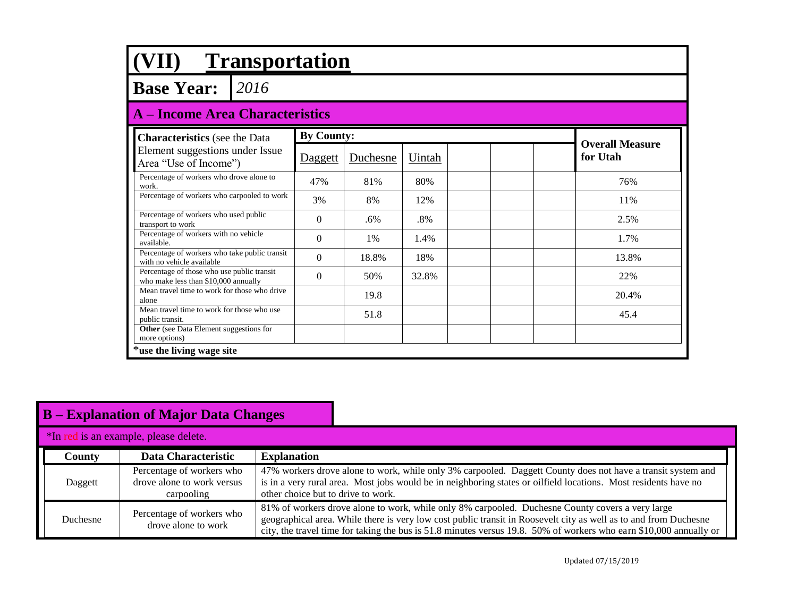# **(VII) Transportation**

**Base Year:** *2016*

### **A – Income Area Characteristics**

| <b>Characteristics</b> (see the Data                                               | <b>By County:</b> |          |        |  |                                    |
|------------------------------------------------------------------------------------|-------------------|----------|--------|--|------------------------------------|
| Element suggestions under Issue<br>Area "Use of Income")                           | Daggett           | Duchesne | Uintah |  | <b>Overall Measure</b><br>for Utah |
| Percentage of workers who drove alone to<br>work.                                  | 47%               | 81%      | 80%    |  | 76%                                |
| Percentage of workers who carpooled to work                                        | 3%                | 8%       | 12%    |  | 11%                                |
| Percentage of workers who used public<br>transport to work                         | $\Omega$          | .6%      | .8%    |  | 2.5%                               |
| Percentage of workers with no vehicle<br>available.                                | $\Omega$          | 1%       | 1.4%   |  | 1.7%                               |
| Percentage of workers who take public transit<br>with no vehicle available         | $\Omega$          | 18.8%    | 18%    |  | 13.8%                              |
| Percentage of those who use public transit<br>who make less than \$10,000 annually | $\Omega$          | 50%      | 32.8%  |  | 22%                                |
| Mean travel time to work for those who drive<br>alone                              |                   | 19.8     |        |  | 20.4%                              |
| Mean travel time to work for those who use<br>public transit.                      |                   | 51.8     |        |  | 45.4                               |
| <b>Other</b> (see Data Element suggestions for<br>more options)                    |                   |          |        |  |                                    |
| *use the living wage site                                                          |                   |          |        |  |                                    |

|          | <b>B</b> – Explanation of Major Data Changes                          |                                                                                                                                                                                                                                                                                                                                            |  |  |  |
|----------|-----------------------------------------------------------------------|--------------------------------------------------------------------------------------------------------------------------------------------------------------------------------------------------------------------------------------------------------------------------------------------------------------------------------------------|--|--|--|
|          | *In red is an example, please delete.                                 |                                                                                                                                                                                                                                                                                                                                            |  |  |  |
| County   | Data Characteristic                                                   | <b>Explanation</b>                                                                                                                                                                                                                                                                                                                         |  |  |  |
| Daggett  | Percentage of workers who<br>drove alone to work versus<br>carpooling | 47% workers drove alone to work, while only 3% carpooled. Daggett County does not have a transit system and<br>is in a very rural area. Most jobs would be in neighboring states or oilfield locations. Most residents have no<br>other choice but to drive to work.                                                                       |  |  |  |
| Duchesne | Percentage of workers who<br>drove alone to work                      | 81% of workers drove alone to work, while only 8% carpooled. Duchesne County covers a very large<br>geographical area. While there is very low cost public transit in Roosevelt city as well as to and from Duchesne<br>city, the travel time for taking the bus is 51.8 minutes versus 19.8. 50% of workers who earn \$10,000 annually or |  |  |  |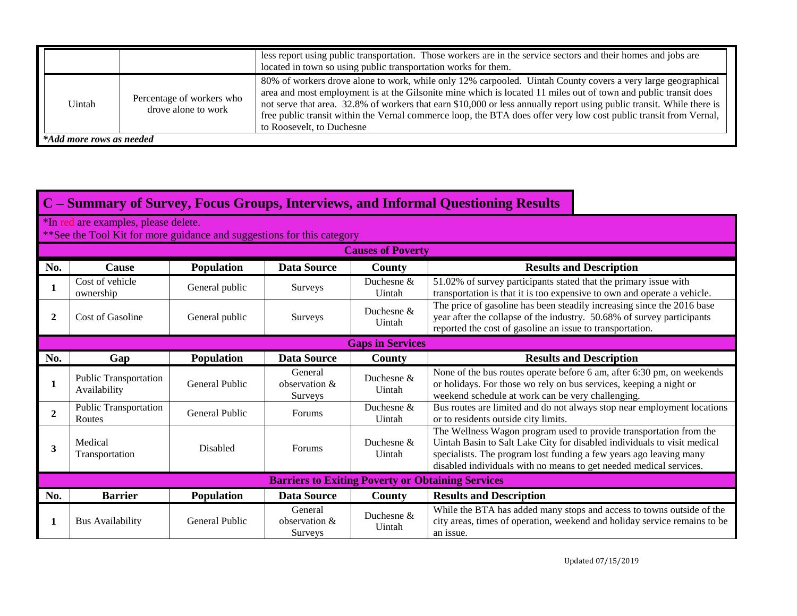|                          |                                                  | less report using public transportation. Those workers are in the service sectors and their homes and jobs are<br>located in town so using public transportation works for them.                                                                                                                                                                                                                                                                                                                           |
|--------------------------|--------------------------------------------------|------------------------------------------------------------------------------------------------------------------------------------------------------------------------------------------------------------------------------------------------------------------------------------------------------------------------------------------------------------------------------------------------------------------------------------------------------------------------------------------------------------|
| Uintah                   | Percentage of workers who<br>drove alone to work | 80% of workers drove alone to work, while only 12% carpooled. Uintah County covers a very large geographical<br>area and most employment is at the Gilsonite mine which is located 11 miles out of town and public transit does<br>not serve that area. 32.8% of workers that earn \$10,000 or less annually report using public transit. While there is<br>free public transit within the Vernal commerce loop, the BTA does offer very low cost public transit from Vernal,<br>to Roosevelt, to Duchesne |
| *Add more rows as needed |                                                  |                                                                                                                                                                                                                                                                                                                                                                                                                                                                                                            |

|  |  | <b>C</b> – Summary of Survey, Focus Groups, Interviews, and Informal Questioning Results |
|--|--|------------------------------------------------------------------------------------------|
|  |  |                                                                                          |

|  | *In red are examples, please delete. |  |  |  |
|--|--------------------------------------|--|--|--|
|--|--------------------------------------|--|--|--|

|                | <b>Causes of Poverty</b>                                 |                       |                                     |                         |                                                                                                                                                                                                                                                                                            |  |  |
|----------------|----------------------------------------------------------|-----------------------|-------------------------------------|-------------------------|--------------------------------------------------------------------------------------------------------------------------------------------------------------------------------------------------------------------------------------------------------------------------------------------|--|--|
| No.            | Cause                                                    | Population            | <b>Data Source</b>                  | County                  | <b>Results and Description</b>                                                                                                                                                                                                                                                             |  |  |
|                | Cost of vehicle<br>ownership                             | General public        | Surveys                             | Duchesne $&$<br>Uintah  | 51.02% of survey participants stated that the primary issue with<br>transportation is that it is too expensive to own and operate a vehicle.                                                                                                                                               |  |  |
| $\overline{2}$ | Cost of Gasoline                                         | General public        | Surveys                             | Duchesne $&$<br>Uintah  | The price of gasoline has been steadily increasing since the 2016 base<br>year after the collapse of the industry. 50.68% of survey participants<br>reported the cost of gasoline an issue to transportation.                                                                              |  |  |
|                |                                                          |                       |                                     | <b>Gaps in Services</b> |                                                                                                                                                                                                                                                                                            |  |  |
| No.            | Gap                                                      | <b>Population</b>     | <b>Data Source</b>                  | County                  | <b>Results and Description</b>                                                                                                                                                                                                                                                             |  |  |
|                | <b>Public Transportation</b><br>Availability             | <b>General Public</b> | General<br>observation &<br>Surveys | Duchesne &<br>Uintah    | None of the bus routes operate before 6 am, after 6:30 pm, on weekends<br>or holidays. For those wo rely on bus services, keeping a night or<br>weekend schedule at work can be very challenging.                                                                                          |  |  |
| $\mathbf{2}$   | Public Transportation<br>Routes                          | General Public        | Forums                              | Duchesne $&$<br>Uintah  | Bus routes are limited and do not always stop near employment locations<br>or to residents outside city limits.                                                                                                                                                                            |  |  |
| 3              | Medical<br>Transportation                                | <b>Disabled</b>       | Forums                              | Duchesne $&$<br>Uintah  | The Wellness Wagon program used to provide transportation from the<br>Uintah Basin to Salt Lake City for disabled individuals to visit medical<br>specialists. The program lost funding a few years ago leaving many<br>disabled individuals with no means to get needed medical services. |  |  |
|                | <b>Barriers to Exiting Poverty or Obtaining Services</b> |                       |                                     |                         |                                                                                                                                                                                                                                                                                            |  |  |
| No.            | <b>Barrier</b>                                           | <b>Population</b>     | <b>Data Source</b>                  | County                  | <b>Results and Description</b>                                                                                                                                                                                                                                                             |  |  |
| -1             | <b>Bus Availability</b>                                  | <b>General Public</b> | General<br>observation &<br>Surveys | Duchesne &<br>Uintah    | While the BTA has added many stops and access to towns outside of the<br>city areas, times of operation, weekend and holiday service remains to be<br>an issue.                                                                                                                            |  |  |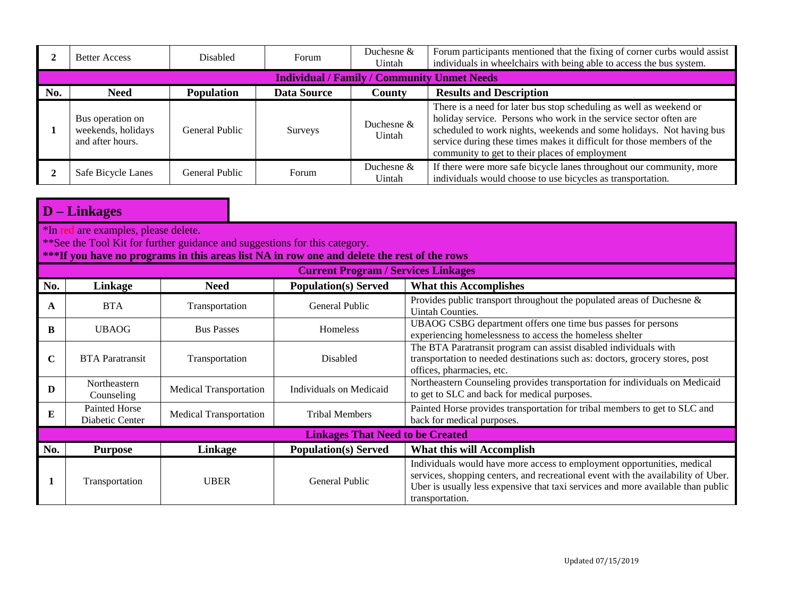|     | <b>Better Access</b>                                       | <b>Disabled</b>   | Forum              | Duchesne &<br>Uintah   | Forum participants mentioned that the fixing of corner curbs would assist<br>individuals in wheelchairs with being able to access the bus system.                                                                                                                                                                                            |  |  |
|-----|------------------------------------------------------------|-------------------|--------------------|------------------------|----------------------------------------------------------------------------------------------------------------------------------------------------------------------------------------------------------------------------------------------------------------------------------------------------------------------------------------------|--|--|
|     | <b>Individual / Family / Community Unmet Needs</b>         |                   |                    |                        |                                                                                                                                                                                                                                                                                                                                              |  |  |
| No. | <b>Need</b>                                                | <b>Population</b> | <b>Data Source</b> | County                 | <b>Results and Description</b>                                                                                                                                                                                                                                                                                                               |  |  |
|     | Bus operation on<br>weekends, holidays<br>and after hours. | General Public    | Surveys            | Duchesne $&$<br>Uintah | There is a need for later bus stop scheduling as well as weekend or<br>holiday service. Persons who work in the service sector often are<br>scheduled to work nights, weekends and some holidays. Not having bus<br>service during these times makes it difficult for those members of the<br>community to get to their places of employment |  |  |
|     | Safe Bicycle Lanes                                         | General Public    | Forum              | Duchesne &<br>Uintah   | If there were more safe bicycle lanes throughout our community, more<br>individuals would choose to use bicycles as transportation.                                                                                                                                                                                                          |  |  |

\*In red are examples, please delete.

\*\*See the Tool Kit for further guidance and suggestions for this category.

|     | <b>Current Program / Services Linkages</b> |                               |                                         |                                                                                                                                                                                                                                                                     |  |  |  |
|-----|--------------------------------------------|-------------------------------|-----------------------------------------|---------------------------------------------------------------------------------------------------------------------------------------------------------------------------------------------------------------------------------------------------------------------|--|--|--|
| No. | Linkage                                    | <b>Need</b>                   | <b>Population(s)</b> Served             | <b>What this Accomplishes</b>                                                                                                                                                                                                                                       |  |  |  |
| A   | <b>BTA</b>                                 | Transportation                | General Public                          | Provides public transport throughout the populated areas of Duchesne $\&$<br>Uintah Counties.                                                                                                                                                                       |  |  |  |
| B   | <b>UBAOG</b>                               | <b>Bus Passes</b>             | <b>Homeless</b>                         | UBAOG CSBG department offers one time bus passes for persons<br>experiencing homelessness to access the homeless shelter                                                                                                                                            |  |  |  |
| C   | <b>BTA</b> Paratransit                     | Transportation                | Disabled                                | The BTA Paratransit program can assist disabled individuals with<br>transportation to needed destinations such as: doctors, grocery stores, post<br>offices, pharmacies, etc.                                                                                       |  |  |  |
|     | Northeastern<br>Counseling                 | <b>Medical Transportation</b> | Individuals on Medicaid                 | Northeastern Counseling provides transportation for individuals on Medicaid<br>to get to SLC and back for medical purposes.                                                                                                                                         |  |  |  |
|     | <b>Painted Horse</b><br>Diabetic Center    | <b>Medical Transportation</b> | <b>Tribal Members</b>                   | Painted Horse provides transportation for tribal members to get to SLC and<br>back for medical purposes.                                                                                                                                                            |  |  |  |
|     |                                            |                               | <b>Linkages That Need to be Created</b> |                                                                                                                                                                                                                                                                     |  |  |  |
| No. | <b>Purpose</b>                             | Linkage                       | <b>Population(s)</b> Served             | What this will Accomplish                                                                                                                                                                                                                                           |  |  |  |
|     | Transportation                             | <b>UBER</b>                   | General Public                          | Individuals would have more access to employment opportunities, medical<br>services, shopping centers, and recreational event with the availability of Uber.<br>Uber is usually less expensive that taxi services and more available than public<br>transportation. |  |  |  |